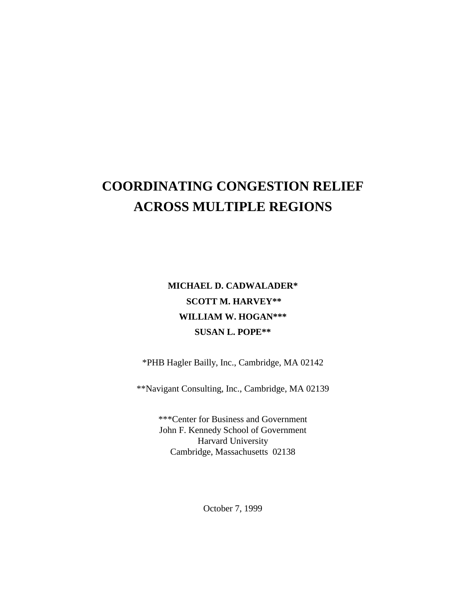# **COORDINATING CONGESTION RELIEF ACROSS MULTIPLE REGIONS**

## **MICHAEL D. CADWALADER\* SCOTT M. HARVEY\*\* WILLIAM W. HOGAN\*\*\* SUSAN L. POPE\*\***

\*PHB Hagler Bailly, Inc., Cambridge, MA 02142

\*\*Navigant Consulting, Inc., Cambridge, MA 02139

\*\*\*Center for Business and Government John F. Kennedy School of Government Harvard University Cambridge, Massachusetts 02138

October 7, 1999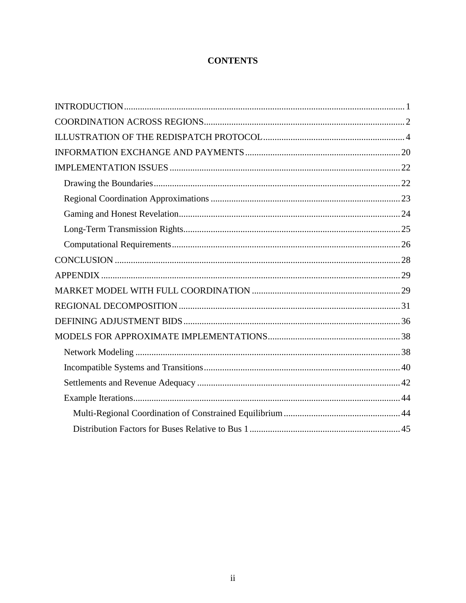## **CONTENTS**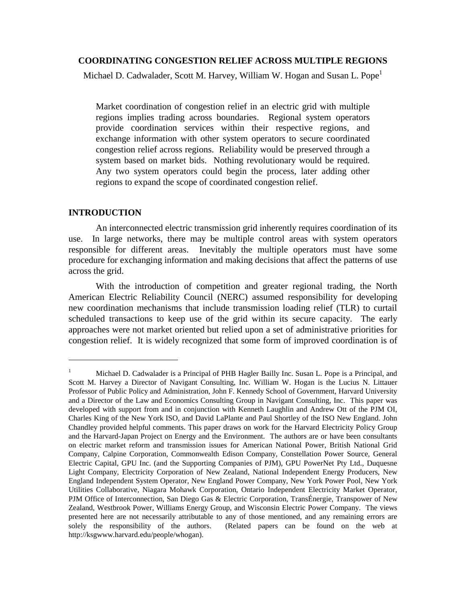#### **COORDINATING CONGESTION RELIEF ACROSS MULTIPLE REGIONS**

Michael D. Cadwalader, Scott M. Harvey, William W. Hogan and Susan L. Pope<sup>1</sup>

Market coordination of congestion relief in an electric grid with multiple regions implies trading across boundaries. Regional system operators provide coordination services within their respective regions, and exchange information with other system operators to secure coordinated congestion relief across regions. Reliability would be preserved through a system based on market bids. Nothing revolutionary would be required. Any two system operators could begin the process, later adding other regions to expand the scope of coordinated congestion relief.

#### **INTRODUCTION**

 $\overline{a}$ 

An interconnected electric transmission grid inherently requires coordination of its use. In large networks, there may be multiple control areas with system operators responsible for different areas. Inevitably the multiple operators must have some procedure for exchanging information and making decisions that affect the patterns of use across the grid.

With the introduction of competition and greater regional trading, the North American Electric Reliability Council (NERC) assumed responsibility for developing new coordination mechanisms that include transmission loading relief (TLR) to curtail scheduled transactions to keep use of the grid within its secure capacity. The early approaches were not market oriented but relied upon a set of administrative priorities for congestion relief. It is widely recognized that some form of improved coordination is of

<sup>&</sup>lt;sup>1</sup> Michael D. Cadwalader is a Principal of PHB Hagler Bailly Inc. Susan L. Pope is a Principal, and Scott M. Harvey a Director of Navigant Consulting, Inc. William W. Hogan is the Lucius N. Littauer Professor of Public Policy and Administration, John F. Kennedy School of Government, Harvard University and a Director of the Law and Economics Consulting Group in Navigant Consulting, Inc. This paper was developed with support from and in conjunction with Kenneth Laughlin and Andrew Ott of the PJM OI, Charles King of the New York ISO, and David LaPlante and Paul Shortley of the ISO New England. John Chandley provided helpful comments. This paper draws on work for the Harvard Electricity Policy Group and the Harvard-Japan Project on Energy and the Environment. The authors are or have been consultants on electric market reform and transmission issues for American National Power, British National Grid Company, Calpine Corporation, Commonwealth Edison Company, Constellation Power Source, General Electric Capital, GPU Inc. (and the Supporting Companies of PJM), GPU PowerNet Pty Ltd., Duquesne Light Company, Electricity Corporation of New Zealand, National Independent Energy Producers, New England Independent System Operator, New England Power Company, New York Power Pool, New York Utilities Collaborative, Niagara Mohawk Corporation, Ontario Independent Electricity Market Operator, PJM Office of Interconnection, San Diego Gas & Electric Corporation, TransÉnergie, Transpower of New Zealand, Westbrook Power, Williams Energy Group, and Wisconsin Electric Power Company. The views presented here are not necessarily attributable to any of those mentioned, and any remaining errors are solely the responsibility of the authors. (Related papers can be found on the web at http://ksgwww.harvard.edu/people/whogan).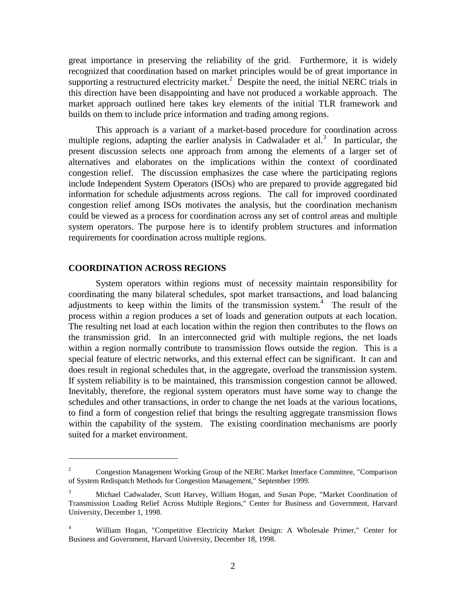great importance in preserving the reliability of the grid. Furthermore, it is widely recognized that coordination based on market principles would be of great importance in supporting a restructured electricity market.<sup>2</sup> Despite the need, the initial NERC trials in this direction have been disappointing and have not produced a workable approach. The market approach outlined here takes key elements of the initial TLR framework and builds on them to include price information and trading among regions.

This approach is a variant of a market-based procedure for coordination across multiple regions, adapting the earlier analysis in Cadwalader et al.<sup>3</sup> In particular, the present discussion selects one approach from among the elements of a larger set of alternatives and elaborates on the implications within the context of coordinated congestion relief. The discussion emphasizes the case where the participating regions include Independent System Operators (ISOs) who are prepared to provide aggregated bid information for schedule adjustments across regions. The call for improved coordinated congestion relief among ISOs motivates the analysis, but the coordination mechanism could be viewed as a process for coordination across any set of control areas and multiple system operators. The purpose here is to identify problem structures and information requirements for coordination across multiple regions.

#### **COORDINATION ACROSS REGIONS**

 $\overline{a}$ 

System operators within regions must of necessity maintain responsibility for coordinating the many bilateral schedules, spot market transactions, and load balancing adjustments to keep within the limits of the transmission system. $<sup>4</sup>$  The result of the</sup> process within a region produces a set of loads and generation outputs at each location. The resulting net load at each location within the region then contributes to the flows on the transmission grid. In an interconnected grid with multiple regions, the net loads within a region normally contribute to transmission flows outside the region. This is a special feature of electric networks, and this external effect can be significant. It can and does result in regional schedules that, in the aggregate, overload the transmission system. If system reliability is to be maintained, this transmission congestion cannot be allowed. Inevitably, therefore, the regional system operators must have some way to change the schedules and other transactions, in order to change the net loads at the various locations, to find a form of congestion relief that brings the resulting aggregate transmission flows within the capability of the system. The existing coordination mechanisms are poorly suited for a market environment.

<sup>2</sup> Congestion Management Working Group of the NERC Market Interface Committee, "Comparison of System Redispatch Methods for Congestion Management," September 1999.

<sup>3</sup> Michael Cadwalader, Scott Harvey, William Hogan, and Susan Pope, "Market Coordination of Transmission Loading Relief Across Multiple Regions," Center for Business and Government, Harvard University, December 1, 1998.

<sup>4</sup> William Hogan, "Competitive Electricity Market Design: A Wholesale Primer," Center for Business and Government, Harvard University, December 18, 1998.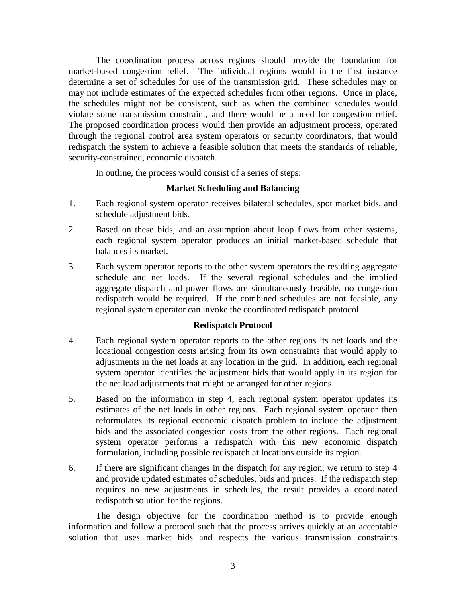The coordination process across regions should provide the foundation for market-based congestion relief. The individual regions would in the first instance determine a set of schedules for use of the transmission grid. These schedules may or may not include estimates of the expected schedules from other regions. Once in place, the schedules might not be consistent, such as when the combined schedules would violate some transmission constraint, and there would be a need for congestion relief. The proposed coordination process would then provide an adjustment process, operated through the regional control area system operators or security coordinators, that would redispatch the system to achieve a feasible solution that meets the standards of reliable, security-constrained, economic dispatch.

In outline, the process would consist of a series of steps:

## **Market Scheduling and Balancing**

- 1. Each regional system operator receives bilateral schedules, spot market bids, and schedule adjustment bids.
- 2. Based on these bids, and an assumption about loop flows from other systems, each regional system operator produces an initial market-based schedule that balances its market.
- 3. Each system operator reports to the other system operators the resulting aggregate schedule and net loads. If the several regional schedules and the implied aggregate dispatch and power flows are simultaneously feasible, no congestion redispatch would be required. If the combined schedules are not feasible, any regional system operator can invoke the coordinated redispatch protocol.

## **Redispatch Protocol**

- 4. Each regional system operator reports to the other regions its net loads and the locational congestion costs arising from its own constraints that would apply to adjustments in the net loads at any location in the grid. In addition, each regional system operator identifies the adjustment bids that would apply in its region for the net load adjustments that might be arranged for other regions.
- 5. Based on the information in step 4, each regional system operator updates its estimates of the net loads in other regions. Each regional system operator then reformulates its regional economic dispatch problem to include the adjustment bids and the associated congestion costs from the other regions. Each regional system operator performs a redispatch with this new economic dispatch formulation, including possible redispatch at locations outside its region.
- 6. If there are significant changes in the dispatch for any region, we return to step 4 and provide updated estimates of schedules, bids and prices. If the redispatch step requires no new adjustments in schedules, the result provides a coordinated redispatch solution for the regions.

The design objective for the coordination method is to provide enough information and follow a protocol such that the process arrives quickly at an acceptable solution that uses market bids and respects the various transmission constraints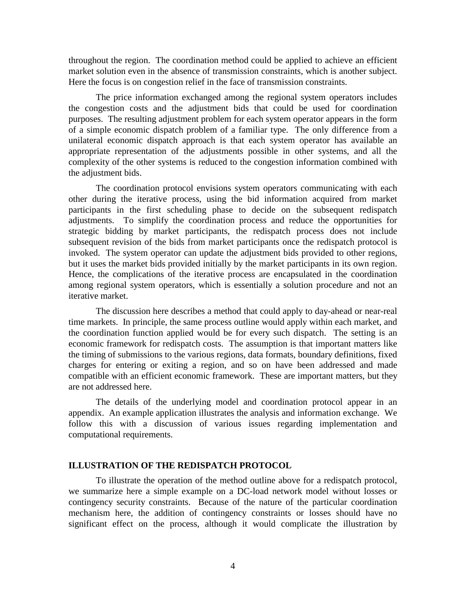throughout the region. The coordination method could be applied to achieve an efficient market solution even in the absence of transmission constraints, which is another subject. Here the focus is on congestion relief in the face of transmission constraints.

The price information exchanged among the regional system operators includes the congestion costs and the adjustment bids that could be used for coordination purposes. The resulting adjustment problem for each system operator appears in the form of a simple economic dispatch problem of a familiar type. The only difference from a unilateral economic dispatch approach is that each system operator has available an appropriate representation of the adjustments possible in other systems, and all the complexity of the other systems is reduced to the congestion information combined with the adjustment bids.

The coordination protocol envisions system operators communicating with each other during the iterative process, using the bid information acquired from market participants in the first scheduling phase to decide on the subsequent redispatch adjustments. To simplify the coordination process and reduce the opportunities for strategic bidding by market participants, the redispatch process does not include subsequent revision of the bids from market participants once the redispatch protocol is invoked. The system operator can update the adjustment bids provided to other regions, but it uses the market bids provided initially by the market participants in its own region. Hence, the complications of the iterative process are encapsulated in the coordination among regional system operators, which is essentially a solution procedure and not an iterative market.

The discussion here describes a method that could apply to day-ahead or near-real time markets. In principle, the same process outline would apply within each market, and the coordination function applied would be for every such dispatch. The setting is an economic framework for redispatch costs. The assumption is that important matters like the timing of submissions to the various regions, data formats, boundary definitions, fixed charges for entering or exiting a region, and so on have been addressed and made compatible with an efficient economic framework. These are important matters, but they are not addressed here.

The details of the underlying model and coordination protocol appear in an appendix. An example application illustrates the analysis and information exchange. We follow this with a discussion of various issues regarding implementation and computational requirements.

#### **ILLUSTRATION OF THE REDISPATCH PROTOCOL**

To illustrate the operation of the method outline above for a redispatch protocol, we summarize here a simple example on a DC-load network model without losses or contingency security constraints. Because of the nature of the particular coordination mechanism here, the addition of contingency constraints or losses should have no significant effect on the process, although it would complicate the illustration by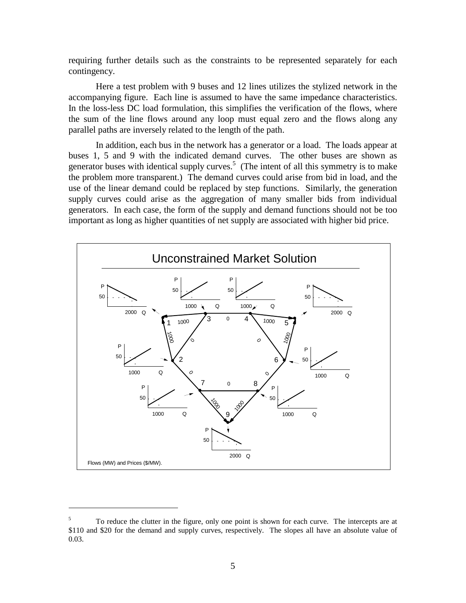requiring further details such as the constraints to be represented separately for each contingency.

Here a test problem with 9 buses and 12 lines utilizes the stylized network in the accompanying figure. Each line is assumed to have the same impedance characteristics. In the loss-less DC load formulation, this simplifies the verification of the flows, where the sum of the line flows around any loop must equal zero and the flows along any parallel paths are inversely related to the length of the path.

In addition, each bus in the network has a generator or a load. The loads appear at buses 1, 5 and 9 with the indicated demand curves. The other buses are shown as generator buses with identical supply curves.<sup>5</sup> (The intent of all this symmetry is to make the problem more transparent.) The demand curves could arise from bid in load, and the use of the linear demand could be replaced by step functions. Similarly, the generation supply curves could arise as the aggregation of many smaller bids from individual generators. In each case, the form of the supply and demand functions should not be too important as long as higher quantities of net supply are associated with higher bid price.



 $\overline{a}$ 

<sup>5</sup> To reduce the clutter in the figure, only one point is shown for each curve. The intercepts are at \$110 and \$20 for the demand and supply curves, respectively. The slopes all have an absolute value of 0.03.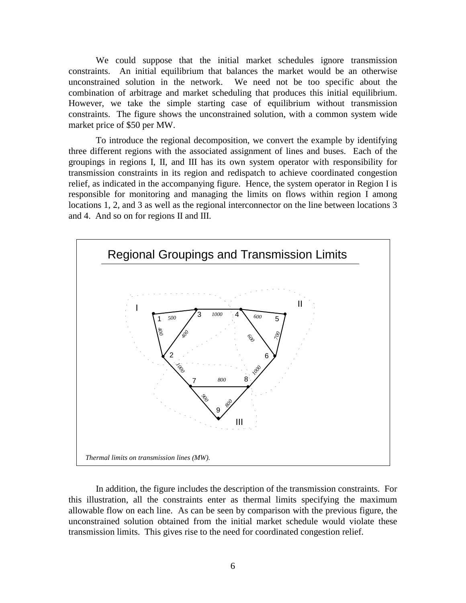We could suppose that the initial market schedules ignore transmission constraints. An initial equilibrium that balances the market would be an otherwise unconstrained solution in the network. We need not be too specific about the combination of arbitrage and market scheduling that produces this initial equilibrium. However, we take the simple starting case of equilibrium without transmission constraints. The figure shows the unconstrained solution, with a common system wide market price of \$50 per MW.

To introduce the regional decomposition, we convert the example by identifying three different regions with the associated assignment of lines and buses. Each of the groupings in regions I, II, and III has its own system operator with responsibility for transmission constraints in its region and redispatch to achieve coordinated congestion relief, as indicated in the accompanying figure. Hence, the system operator in Region I is responsible for monitoring and managing the limits on flows within region I among locations 1, 2, and 3 as well as the regional interconnector on the line between locations 3 and 4. And so on for regions II and III.



In addition, the figure includes the description of the transmission constraints. For this illustration, all the constraints enter as thermal limits specifying the maximum allowable flow on each line. As can be seen by comparison with the previous figure, the unconstrained solution obtained from the initial market schedule would violate these transmission limits. This gives rise to the need for coordinated congestion relief.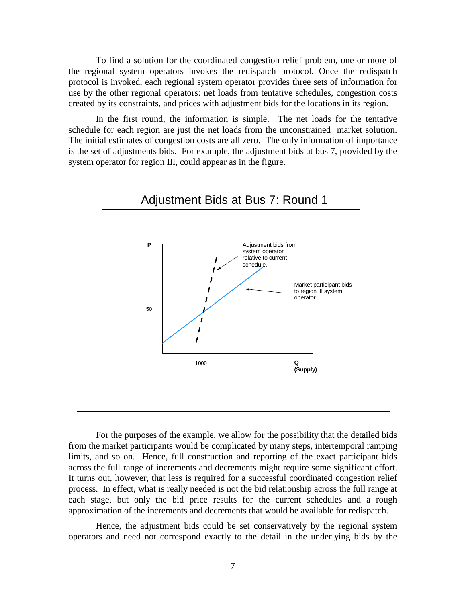To find a solution for the coordinated congestion relief problem, one or more of the regional system operators invokes the redispatch protocol. Once the redispatch protocol is invoked, each regional system operator provides three sets of information for use by the other regional operators: net loads from tentative schedules, congestion costs created by its constraints, and prices with adjustment bids for the locations in its region.

In the first round, the information is simple. The net loads for the tentative schedule for each region are just the net loads from the unconstrained market solution. The initial estimates of congestion costs are all zero. The only information of importance is the set of adjustments bids. For example, the adjustment bids at bus 7, provided by the system operator for region III, could appear as in the figure.



For the purposes of the example, we allow for the possibility that the detailed bids from the market participants would be complicated by many steps, intertemporal ramping limits, and so on. Hence, full construction and reporting of the exact participant bids across the full range of increments and decrements might require some significant effort. It turns out, however, that less is required for a successful coordinated congestion relief process. In effect, what is really needed is not the bid relationship across the full range at each stage, but only the bid price results for the current schedules and a rough approximation of the increments and decrements that would be available for redispatch.

Hence, the adjustment bids could be set conservatively by the regional system operators and need not correspond exactly to the detail in the underlying bids by the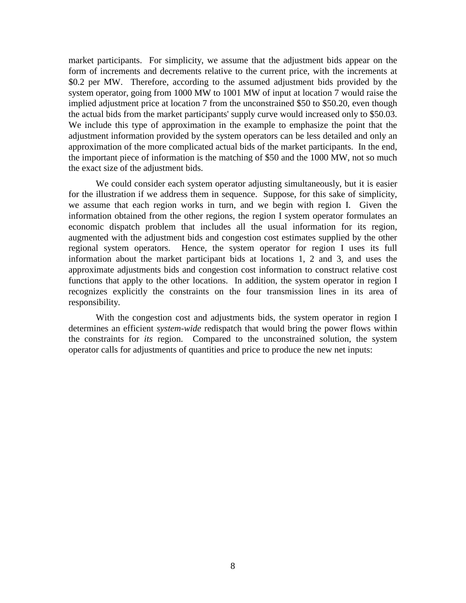market participants. For simplicity, we assume that the adjustment bids appear on the form of increments and decrements relative to the current price, with the increments at \$0.2 per MW. Therefore, according to the assumed adjustment bids provided by the system operator, going from 1000 MW to 1001 MW of input at location 7 would raise the implied adjustment price at location 7 from the unconstrained \$50 to \$50.20, even though the actual bids from the market participants' supply curve would increased only to \$50.03. We include this type of approximation in the example to emphasize the point that the adjustment information provided by the system operators can be less detailed and only an approximation of the more complicated actual bids of the market participants. In the end, the important piece of information is the matching of \$50 and the 1000 MW, not so much the exact size of the adjustment bids.

We could consider each system operator adjusting simultaneously, but it is easier for the illustration if we address them in sequence. Suppose, for this sake of simplicity, we assume that each region works in turn, and we begin with region I. Given the information obtained from the other regions, the region I system operator formulates an economic dispatch problem that includes all the usual information for its region, augmented with the adjustment bids and congestion cost estimates supplied by the other regional system operators. Hence, the system operator for region I uses its full information about the market participant bids at locations 1, 2 and 3, and uses the approximate adjustments bids and congestion cost information to construct relative cost functions that apply to the other locations. In addition, the system operator in region I recognizes explicitly the constraints on the four transmission lines in its area of responsibility.

With the congestion cost and adjustments bids, the system operator in region I determines an efficient *system-wide* redispatch that would bring the power flows within the constraints for *its* region. Compared to the unconstrained solution, the system operator calls for adjustments of quantities and price to produce the new net inputs: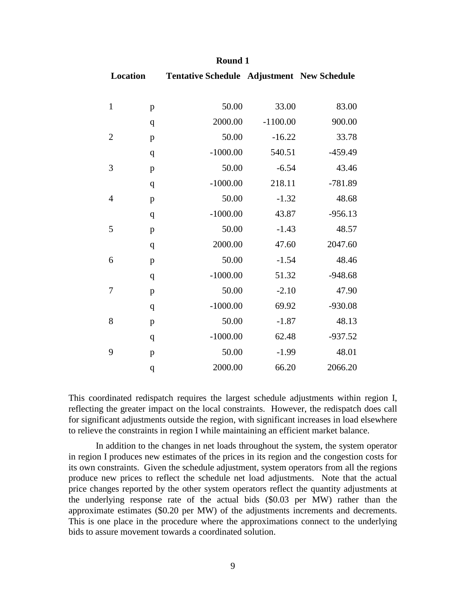| Location       |              | <b>Tentative Schedule Adjustment New Schedule</b> |            |           |
|----------------|--------------|---------------------------------------------------|------------|-----------|
| $\mathbf{1}$   | $\mathbf{p}$ | 50.00                                             | 33.00      | 83.00     |
|                | $\mathbf{q}$ | 2000.00                                           | $-1100.00$ | 900.00    |
| $\mathfrak{2}$ | $\mathbf{p}$ | 50.00                                             | $-16.22$   | 33.78     |
|                | $\mathbf q$  | $-1000.00$                                        | 540.51     | $-459.49$ |
| 3              | $\mathbf{p}$ | 50.00                                             | $-6.54$    | 43.46     |
|                | $\mathbf q$  | $-1000.00$                                        | 218.11     | $-781.89$ |
| $\overline{4}$ | $\mathbf{p}$ | 50.00                                             | $-1.32$    | 48.68     |
|                | $\mathbf q$  | $-1000.00$                                        | 43.87      | $-956.13$ |
| 5              | $\mathbf{p}$ | 50.00                                             | $-1.43$    | 48.57     |
|                | $\mathbf{q}$ | 2000.00                                           | 47.60      | 2047.60   |
| 6              | $\mathbf{p}$ | 50.00                                             | $-1.54$    | 48.46     |
|                | $\mathbf q$  | $-1000.00$                                        | 51.32      | $-948.68$ |
| 7              | $\mathbf{p}$ | 50.00                                             | $-2.10$    | 47.90     |
|                | $\mathbf q$  | $-1000.00$                                        | 69.92      | $-930.08$ |
| 8              | $\mathbf{p}$ | 50.00                                             | $-1.87$    | 48.13     |
|                | $\mathbf q$  | $-1000.00$                                        | 62.48      | $-937.52$ |
| 9              | $\mathbf{p}$ | 50.00                                             | $-1.99$    | 48.01     |
|                | $\mathbf q$  | 2000.00                                           | 66.20      | 2066.20   |

#### **Round 1**

This coordinated redispatch requires the largest schedule adjustments within region I, reflecting the greater impact on the local constraints. However, the redispatch does call for significant adjustments outside the region, with significant increases in load elsewhere to relieve the constraints in region I while maintaining an efficient market balance.

In addition to the changes in net loads throughout the system, the system operator in region I produces new estimates of the prices in its region and the congestion costs for its own constraints. Given the schedule adjustment, system operators from all the regions produce new prices to reflect the schedule net load adjustments. Note that the actual price changes reported by the other system operators reflect the quantity adjustments at the underlying response rate of the actual bids (\$0.03 per MW) rather than the approximate estimates (\$0.20 per MW) of the adjustments increments and decrements. This is one place in the procedure where the approximations connect to the underlying bids to assure movement towards a coordinated solution.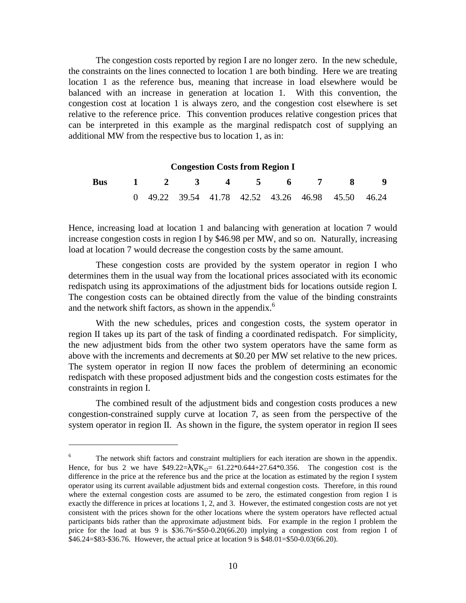The congestion costs reported by region I are no longer zero. In the new schedule, the constraints on the lines connected to location 1 are both binding. Here we are treating location 1 as the reference bus, meaning that increase in load elsewhere would be balanced with an increase in generation at location 1. With this convention, the congestion cost at location 1 is always zero, and the congestion cost elsewhere is set relative to the reference price. This convention produces relative congestion prices that can be interpreted in this example as the marginal redispatch cost of supplying an additional MW from the respective bus to location 1, as in:

| <b>Congestion Costs from Region I</b> |  |  |  |  |  |  |                             |                                                   |  |  |  |
|---------------------------------------|--|--|--|--|--|--|-----------------------------|---------------------------------------------------|--|--|--|
| <b>Bus</b>                            |  |  |  |  |  |  | $1 \t2 \t3 \t4 \t5 \t6 \t7$ |                                                   |  |  |  |
|                                       |  |  |  |  |  |  |                             | 0 49.22 39.54 41.78 42.52 43.26 46.98 45.50 46.24 |  |  |  |

Hence, increasing load at location 1 and balancing with generation at location 7 would increase congestion costs in region I by \$46.98 per MW, and so on. Naturally, increasing load at location 7 would decrease the congestion costs by the same amount.

These congestion costs are provided by the system operator in region I who determines them in the usual way from the locational prices associated with its economic redispatch using its approximations of the adjustment bids for locations outside region I. The congestion costs can be obtained directly from the value of the binding constraints and the network shift factors, as shown in the appendix.<sup>6</sup>

With the new schedules, prices and congestion costs, the system operator in region II takes up its part of the task of finding a coordinated redispatch. For simplicity, the new adjustment bids from the other two system operators have the same form as above with the increments and decrements at \$0.20 per MW set relative to the new prices. The system operator in region II now faces the problem of determining an economic redispatch with these proposed adjustment bids and the congestion costs estimates for the constraints in region I.

The combined result of the adjustment bids and congestion costs produces a new congestion-constrained supply curve at location 7, as seen from the perspective of the system operator in region II. As shown in the figure, the system operator in region II sees

 $\overline{a}$ 

<sup>6</sup> The network shift factors and constraint multipliers for each iteration are shown in the appendix. Hence, for bus 2 we have  $$49.22=\lambda_1\nabla K_{12}= 61.22*0.644+27.64*0.356$ . The congestion cost is the difference in the price at the reference bus and the price at the location as estimated by the region I system operator using its current available adjustment bids and external congestion costs. Therefore, in this round where the external congestion costs are assumed to be zero, the estimated congestion from region I is exactly the difference in prices at locations 1, 2, and 3. However, the estimated congestion costs are not yet consistent with the prices shown for the other locations where the system operators have reflected actual participants bids rather than the approximate adjustment bids. For example in the region I problem the price for the load at bus 9 is  $$36.76 = $50-0.20(66.20)$  implying a congestion cost from region I of \$46.24=\$83-\$36.76. However, the actual price at location 9 is \$48.01=\$50-0.03(66.20).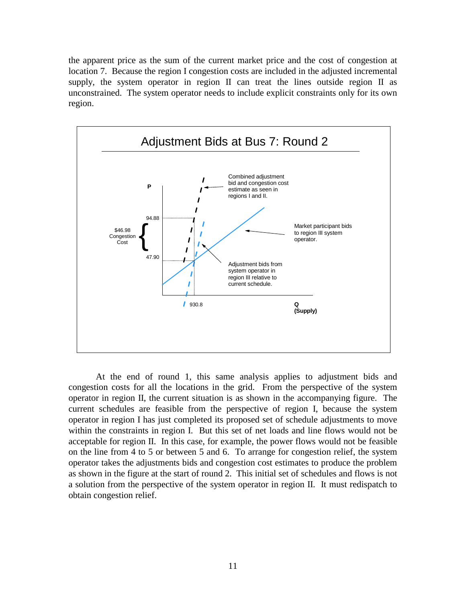the apparent price as the sum of the current market price and the cost of congestion at location 7. Because the region I congestion costs are included in the adjusted incremental supply, the system operator in region II can treat the lines outside region II as unconstrained. The system operator needs to include explicit constraints only for its own region.



At the end of round 1, this same analysis applies to adjustment bids and congestion costs for all the locations in the grid. From the perspective of the system operator in region II, the current situation is as shown in the accompanying figure. The current schedules are feasible from the perspective of region I, because the system operator in region I has just completed its proposed set of schedule adjustments to move within the constraints in region I. But this set of net loads and line flows would not be acceptable for region II. In this case, for example, the power flows would not be feasible on the line from 4 to 5 or between 5 and 6. To arrange for congestion relief, the system operator takes the adjustments bids and congestion cost estimates to produce the problem as shown in the figure at the start of round 2. This initial set of schedules and flows is not a solution from the perspective of the system operator in region II. It must redispatch to obtain congestion relief.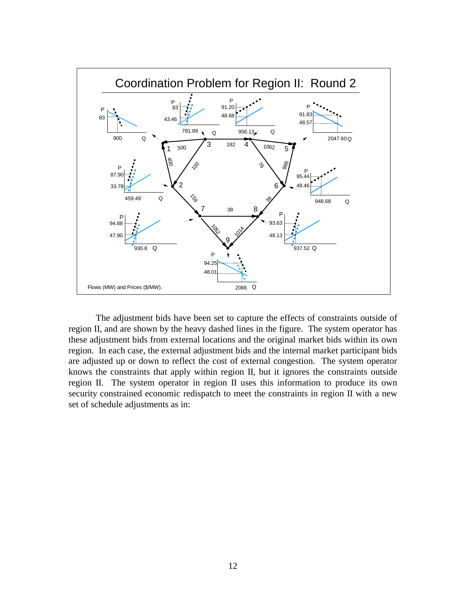

The adjustment bids have been set to capture the effects of constraints outside of region II, and are shown by the heavy dashed lines in the figure. The system operator has these adjustment bids from external locations and the original market bids within its own region. In each case, the external adjustment bids and the internal market participant bids are adjusted up or down to reflect the cost of external congestion. The system operator knows the constraints that apply within region II, but it ignores the constraints outside region II. The system operator in region II uses this information to produce its own security constrained economic redispatch to meet the constraints in region II with a new set of schedule adjustments as in: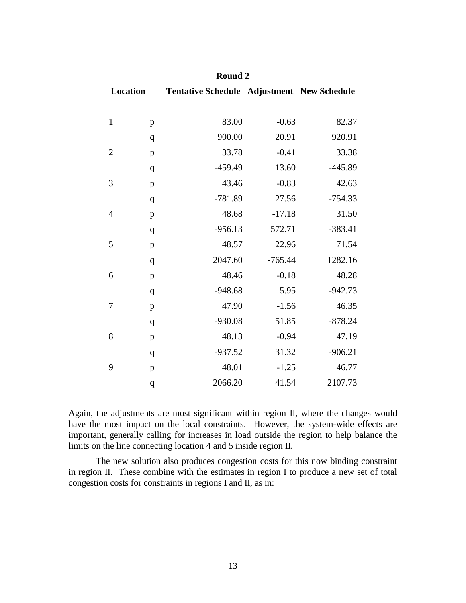| Location       |              | <b>Tentative Schedule Adjustment New Schedule</b> |           |           |  |  |
|----------------|--------------|---------------------------------------------------|-----------|-----------|--|--|
|                |              |                                                   |           |           |  |  |
| $\mathbf{1}$   | $\, {\bf p}$ | 83.00                                             | $-0.63$   | 82.37     |  |  |
|                | $\mathbf q$  | 900.00                                            | 20.91     | 920.91    |  |  |
| $\mathbf{2}$   | $\, {\bf p}$ | 33.78                                             | $-0.41$   | 33.38     |  |  |
|                | $\mathbf q$  | $-459.49$                                         | 13.60     | $-445.89$ |  |  |
| $\mathfrak{Z}$ | $\, {\bf p}$ | 43.46                                             | $-0.83$   | 42.63     |  |  |
|                | $\mathbf q$  | $-781.89$                                         | 27.56     | $-754.33$ |  |  |
| $\overline{4}$ | $\, {\bf p}$ | 48.68                                             | $-17.18$  | 31.50     |  |  |
|                | $\mathbf q$  | $-956.13$                                         | 572.71    | $-383.41$ |  |  |
| 5              | $\mathbf{p}$ | 48.57                                             | 22.96     | 71.54     |  |  |
|                | $\mathbf q$  | 2047.60                                           | $-765.44$ | 1282.16   |  |  |
| 6              | $\mathbf{p}$ | 48.46                                             | $-0.18$   | 48.28     |  |  |
|                | $\mathbf q$  | $-948.68$                                         | 5.95      | $-942.73$ |  |  |
| 7              | $\, {\bf p}$ | 47.90                                             | $-1.56$   | 46.35     |  |  |
|                | $\mathbf q$  | $-930.08$                                         | 51.85     | $-878.24$ |  |  |
| 8              | $\, {\bf p}$ | 48.13                                             | $-0.94$   | 47.19     |  |  |
|                | $\mathbf q$  | $-937.52$                                         | 31.32     | $-906.21$ |  |  |
| 9              | $\, {\bf p}$ | 48.01                                             | $-1.25$   | 46.77     |  |  |
|                | q            | 2066.20                                           | 41.54     | 2107.73   |  |  |

| Round 2 |  |
|---------|--|
|---------|--|

Again, the adjustments are most significant within region II, where the changes would have the most impact on the local constraints. However, the system-wide effects are important, generally calling for increases in load outside the region to help balance the limits on the line connecting location 4 and 5 inside region II.

The new solution also produces congestion costs for this now binding constraint in region II. These combine with the estimates in region I to produce a new set of total congestion costs for constraints in regions I and II, as in: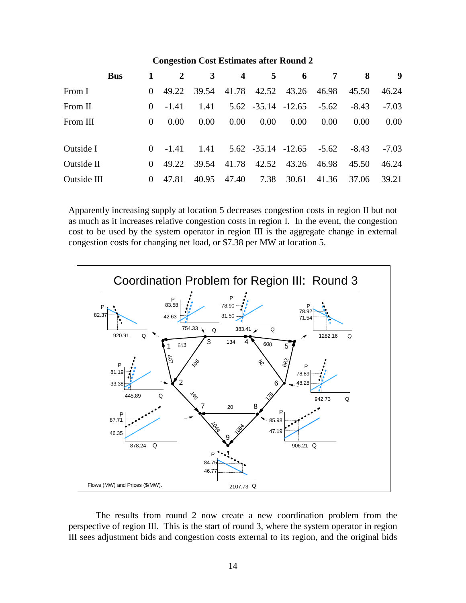### **Congestion Cost Estimates after Round 2**

|             | <b>Bus</b> |          | <sup>2</sup> | $\mathbf{3}$ | $\overline{4}$    | $5^{\circ}$ | 6                                       | 7       | 8       | 9       |
|-------------|------------|----------|--------------|--------------|-------------------|-------------|-----------------------------------------|---------|---------|---------|
| From I      |            | $\Omega$ | 49.22        | 39.54        |                   |             | 41.78 42.52 43.26 46.98                 |         | 45.50   | 46.24   |
| From II     |            | $\theta$ | $-1.41$      | 1.41         |                   |             | $5.62 -35.14 -12.65$                    | $-5.62$ | $-8.43$ | $-7.03$ |
| From III    |            | $\theta$ | 0.00         | 0.00         | 0.00 <sub>1</sub> | 0.00        | 0.00                                    | 0.00    | 0.00    | 0.00    |
|             |            |          |              |              |                   |             |                                         |         |         |         |
| Outside I   |            | $\Omega$ | $-1.41$      |              |                   |             | $1.41$ $5.62$ $-35.14$ $-12.65$ $-5.62$ |         | -8.43   | $-7.03$ |
| Outside II  |            | $\Omega$ | 49.22        | 39.54        | 41.78             |             | 42.52 43.26                             | 46.98   | 45.50   | 46.24   |
| Outside III |            | $\theta$ | 47.81        | 40.95        | 47.40             | 7.38        | 30.61                                   | 41.36   | 37.06   | 39.21   |

Apparently increasing supply at location 5 decreases congestion costs in region II but not as much as it increases relative congestion costs in region I. In the event, the congestion cost to be used by the system operator in region III is the aggregate change in external congestion costs for changing net load, or \$7.38 per MW at location 5.



The results from round 2 now create a new coordination problem from the perspective of region III. This is the start of round 3, where the system operator in region III sees adjustment bids and congestion costs external to its region, and the original bids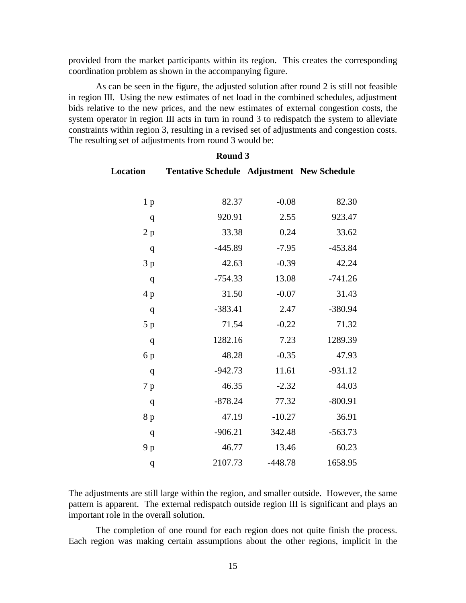provided from the market participants within its region. This creates the corresponding coordination problem as shown in the accompanying figure.

As can be seen in the figure, the adjusted solution after round 2 is still not feasible in region III. Using the new estimates of net load in the combined schedules, adjustment bids relative to the new prices, and the new estimates of external congestion costs, the system operator in region III acts in turn in round 3 to redispatch the system to alleviate constraints within region 3, resulting in a revised set of adjustments and congestion costs. The resulting set of adjustments from round 3 would be:

| Location         | Tentative Schedule Adjustment New Schedule |           |           |
|------------------|--------------------------------------------|-----------|-----------|
| 1 <sub>p</sub>   | 82.37                                      | $-0.08$   | 82.30     |
| q                | 920.91                                     | 2.55      | 923.47    |
| 2 p              | 33.38                                      | 0.24      | 33.62     |
| q                | $-445.89$                                  | $-7.95$   | $-453.84$ |
| 3p               | 42.63                                      | $-0.39$   | 42.24     |
| q                | $-754.33$                                  | 13.08     | $-741.26$ |
| 4p               | 31.50                                      | $-0.07$   | 31.43     |
| q                | $-383.41$                                  | 2.47      | $-380.94$ |
| 5 p              | 71.54                                      | $-0.22$   | 71.32     |
| q                | 1282.16                                    | 7.23      | 1289.39   |
| 6 p              | 48.28                                      | $-0.35$   | 47.93     |
| q                | $-942.73$                                  | 11.61     | $-931.12$ |
| 7 p              | 46.35                                      | $-2.32$   | 44.03     |
| q                | $-878.24$                                  | 77.32     | $-800.91$ |
| 8 p              | 47.19                                      | $-10.27$  | 36.91     |
| q                | $-906.21$                                  | 342.48    | $-563.73$ |
| 9 p              | 46.77                                      | 13.46     | 60.23     |
| $\boldsymbol{q}$ | 2107.73                                    | $-448.78$ | 1658.95   |

#### **Round 3**

The adjustments are still large within the region, and smaller outside. However, the same pattern is apparent. The external redispatch outside region III is significant and plays an important role in the overall solution.

The completion of one round for each region does not quite finish the process. Each region was making certain assumptions about the other regions, implicit in the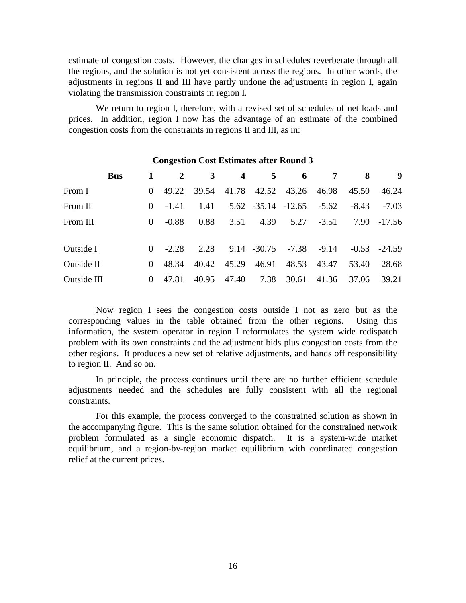estimate of congestion costs. However, the changes in schedules reverberate through all the regions, and the solution is not yet consistent across the regions. In other words, the adjustments in regions II and III have partly undone the adjustments in region I, again violating the transmission constraints in region I.

We return to region I, therefore, with a revised set of schedules of net loads and prices. In addition, region I now has the advantage of an estimate of the combined congestion costs from the constraints in regions II and III, as in:

|             | <b>Bus</b> |          | 2       | 3     | $\overline{4}$ | 5     | $\overline{\mathbf{6}}$       | 7     | 8     | - 9            |
|-------------|------------|----------|---------|-------|----------------|-------|-------------------------------|-------|-------|----------------|
| From I      |            | $\Omega$ | 49.22   |       |                |       | 39.54 41.78 42.52 43.26 46.98 |       | 45.50 | 46.24          |
| From II     |            | $\Omega$ | $-1.41$ | 1.41  |                |       | $5.62 -35.14 -12.65 -5.62$    |       | -8.43 | $-7.03$        |
| From III    |            | $\Omega$ | $-0.88$ | 0.88  | 3.51           |       | $4.39$ $5.27$ $-3.51$         |       |       | 7.90 -17.56    |
|             |            |          |         |       |                |       |                               |       |       |                |
| Outside I   |            | $\Omega$ | $-2.28$ | 2.28  |                |       | $9.14 - 30.75 - 7.38$         | -9.14 |       | $-0.53 -24.59$ |
| Outside II  |            | $\Omega$ | 48.34   | 40.42 | 45.29          | 46.91 | 48.53                         | 43.47 | 53.40 | 28.68          |
| Outside III |            |          | 47.81   | 40.95 | 47.40          | 7.38  | 30.61                         | 41.36 | 37.06 | 39.21          |

#### **Congestion Cost Estimates after Round 3**

Now region I sees the congestion costs outside I not as zero but as the corresponding values in the table obtained from the other regions. Using this information, the system operator in region I reformulates the system wide redispatch problem with its own constraints and the adjustment bids plus congestion costs from the other regions. It produces a new set of relative adjustments, and hands off responsibility to region II. And so on.

In principle, the process continues until there are no further efficient schedule adjustments needed and the schedules are fully consistent with all the regional constraints.

For this example, the process converged to the constrained solution as shown in the accompanying figure. This is the same solution obtained for the constrained network problem formulated as a single economic dispatch. It is a system-wide market equilibrium, and a region-by-region market equilibrium with coordinated congestion relief at the current prices.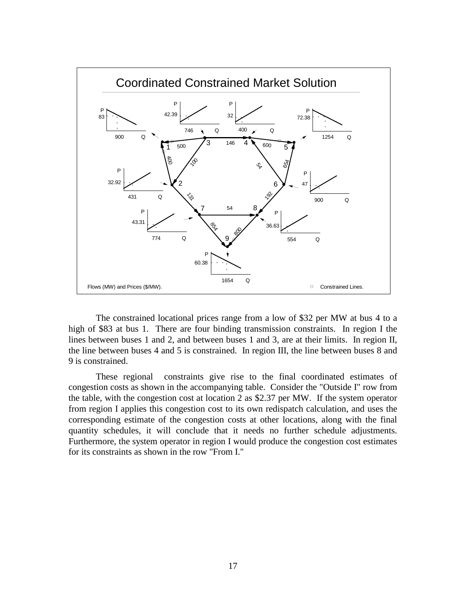

The constrained locational prices range from a low of \$32 per MW at bus 4 to a high of \$83 at bus 1. There are four binding transmission constraints. In region I the lines between buses 1 and 2, and between buses 1 and 3, are at their limits. In region II, the line between buses 4 and 5 is constrained. In region III, the line between buses 8 and 9 is constrained.

These regional constraints give rise to the final coordinated estimates of congestion costs as shown in the accompanying table. Consider the "Outside I" row from the table, with the congestion cost at location 2 as \$2.37 per MW. If the system operator from region I applies this congestion cost to its own redispatch calculation, and uses the corresponding estimate of the congestion costs at other locations, along with the final quantity schedules, it will conclude that it needs no further schedule adjustments. Furthermore, the system operator in region I would produce the congestion cost estimates for its constraints as shown in the row "From I."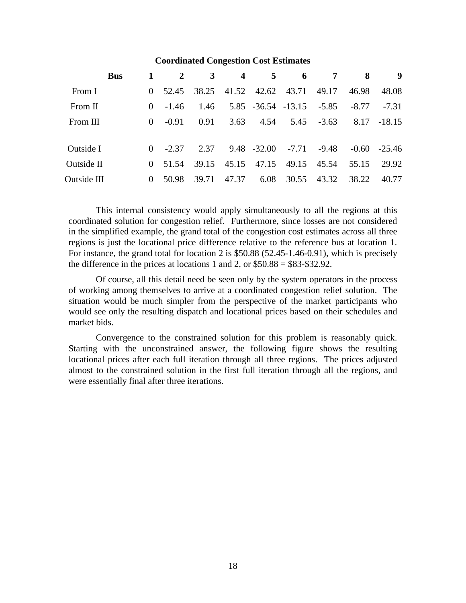#### **Coordinated Congestion Cost Estimates**

| <b>Bus</b>  |                  | $\overline{2}$ | 3     |       | $\overline{4}$<br>$5^{\circ}$ | 6                        | $7\phantom{.0}$ | 8     | 9              |
|-------------|------------------|----------------|-------|-------|-------------------------------|--------------------------|-----------------|-------|----------------|
| From I      |                  | 52.45          | 38.25 |       |                               | 41.52 42.62 43.71        | 49.17           | 46.98 | 48.08          |
| From II     | $\left( \right)$ | $-1.46$        | 1.46  |       |                               | 5.85 -36.54 -13.15 -5.85 |                 | -8.77 | $-7.31$        |
| From III    | $\Omega$         | $-0.91$        | 0.91  | 3.63  | 4.54                          | 5.45                     | $-3.63$         |       | $8.17 - 18.15$ |
|             |                  |                |       |       |                               |                          |                 |       |                |
| Outside I   |                  | $-2.37$        | 2.37  |       |                               | $9.48 - 32.00 - 7.71$    | -9.48           |       | $-0.60 -25.46$ |
| Outside II  | $\Omega$         | 51.54          | 39.15 | 45.15 | 47.15                         | 49.15                    | 45.54           | 55.15 | 29.92          |
| Outside III | $\Omega$         | 50.98          | 39.71 | 47.37 | 6.08                          | 30.55                    | 43.32           | 38.22 | 40.77          |

This internal consistency would apply simultaneously to all the regions at this coordinated solution for congestion relief. Furthermore, since losses are not considered in the simplified example, the grand total of the congestion cost estimates across all three regions is just the locational price difference relative to the reference bus at location 1. For instance, the grand total for location 2 is \$50.88 (52.45-1.46-0.91), which is precisely the difference in the prices at locations 1 and 2, or  $$50.88 = $83 - $32.92$ .

Of course, all this detail need be seen only by the system operators in the process of working among themselves to arrive at a coordinated congestion relief solution. The situation would be much simpler from the perspective of the market participants who would see only the resulting dispatch and locational prices based on their schedules and market bids.

Convergence to the constrained solution for this problem is reasonably quick. Starting with the unconstrained answer, the following figure shows the resulting locational prices after each full iteration through all three regions. The prices adjusted almost to the constrained solution in the first full iteration through all the regions, and were essentially final after three iterations.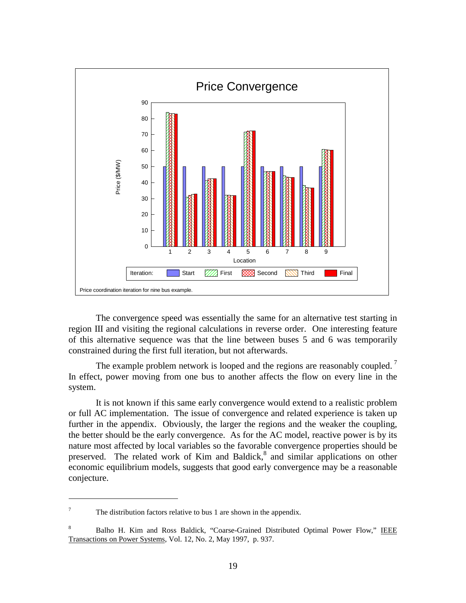

The convergence speed was essentially the same for an alternative test starting in region III and visiting the regional calculations in reverse order. One interesting feature of this alternative sequence was that the line between buses 5 and 6 was temporarily constrained during the first full iteration, but not afterwards.

The example problem network is looped and the regions are reasonably coupled.<sup>7</sup> In effect, power moving from one bus to another affects the flow on every line in the system.

It is not known if this same early convergence would extend to a realistic problem or full AC implementation. The issue of convergence and related experience is taken up further in the appendix. Obviously, the larger the regions and the weaker the coupling, the better should be the early convergence. As for the AC model, reactive power is by its nature most affected by local variables so the favorable convergence properties should be preserved. The related work of Kim and Baldick,<sup>8</sup> and similar applications on other economic equilibrium models, suggests that good early convergence may be a reasonable conjecture.

 $\overline{a}$ 

The distribution factors relative to bus 1 are shown in the appendix.

<sup>8</sup> Balho H. Kim and Ross Baldick, "Coarse-Grained Distributed Optimal Power Flow," IEEE Transactions on Power Systems, Vol. 12, No. 2, May 1997, p. 937.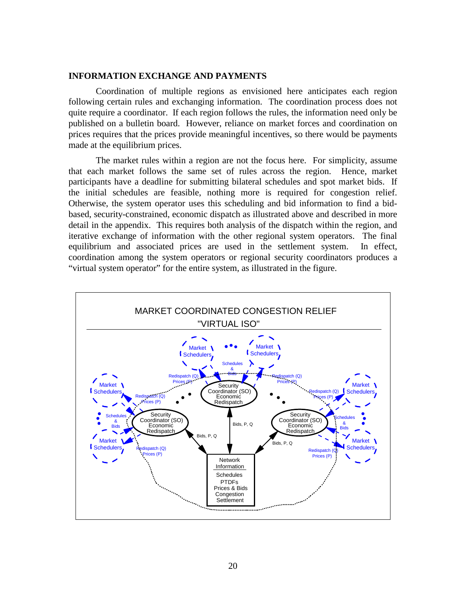#### **INFORMATION EXCHANGE AND PAYMENTS**

Coordination of multiple regions as envisioned here anticipates each region following certain rules and exchanging information. The coordination process does not quite require a coordinator. If each region follows the rules, the information need only be published on a bulletin board. However, reliance on market forces and coordination on prices requires that the prices provide meaningful incentives, so there would be payments made at the equilibrium prices.

The market rules within a region are not the focus here. For simplicity, assume that each market follows the same set of rules across the region. Hence, market participants have a deadline for submitting bilateral schedules and spot market bids. If the initial schedules are feasible, nothing more is required for congestion relief. Otherwise, the system operator uses this scheduling and bid information to find a bidbased, security-constrained, economic dispatch as illustrated above and described in more detail in the appendix. This requires both analysis of the dispatch within the region, and iterative exchange of information with the other regional system operators. The final equilibrium and associated prices are used in the settlement system. In effect, coordination among the system operators or regional security coordinators produces a "virtual system operator" for the entire system, as illustrated in the figure.

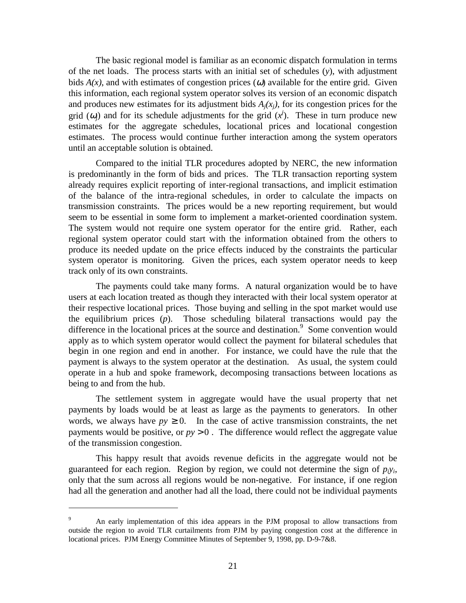The basic regional model is familiar as an economic dispatch formulation in terms of the net loads. The process starts with an initial set of schedules (*y*), with adjustment bids  $A(x)$ , and with estimates of congestion prices ( $\omega$ ) available for the entire grid. Given this information, each regional system operator solves its version of an economic dispatch and produces new estimates for its adjustment bids  $A_i(x_i)$ , for its congestion prices for the grid  $(\omega_j)$  and for its schedule adjustments for the grid  $(x^j)$ . These in turn produce new estimates for the aggregate schedules, locational prices and locational congestion estimates. The process would continue further interaction among the system operators until an acceptable solution is obtained.

Compared to the initial TLR procedures adopted by NERC, the new information is predominantly in the form of bids and prices. The TLR transaction reporting system already requires explicit reporting of inter-regional transactions, and implicit estimation of the balance of the intra-regional schedules, in order to calculate the impacts on transmission constraints. The prices would be a new reporting requirement, but would seem to be essential in some form to implement a market-oriented coordination system. The system would not require one system operator for the entire grid. Rather, each regional system operator could start with the information obtained from the others to produce its needed update on the price effects induced by the constraints the particular system operator is monitoring. Given the prices, each system operator needs to keep track only of its own constraints.

The payments could take many forms. A natural organization would be to have users at each location treated as though they interacted with their local system operator at their respective locational prices. Those buying and selling in the spot market would use the equilibrium prices (*p*). Those scheduling bilateral transactions would pay the difference in the locational prices at the source and destination.<sup>9</sup> Some convention would apply as to which system operator would collect the payment for bilateral schedules that begin in one region and end in another. For instance, we could have the rule that the payment is always to the system operator at the destination. As usual, the system could operate in a hub and spoke framework, decomposing transactions between locations as being to and from the hub.

The settlement system in aggregate would have the usual property that net payments by loads would be at least as large as the payments to generators. In other words, we always have  $py \ge 0$ . In the case of active transmission constraints, the net payments would be positive, or  $py > 0$ . The difference would reflect the aggregate value of the transmission congestion.

This happy result that avoids revenue deficits in the aggregate would not be guaranteed for each region. Region by region, we could not determine the sign of  $p_i y_i$ , only that the sum across all regions would be non-negative. For instance, if one region had all the generation and another had all the load, there could not be individual payments

 $\overline{a}$ 

<sup>9</sup> An early implementation of this idea appears in the PJM proposal to allow transactions from outside the region to avoid TLR curtailments from PJM by paying congestion cost at the difference in locational prices. PJM Energy Committee Minutes of September 9, 1998, pp. D-9-7&8.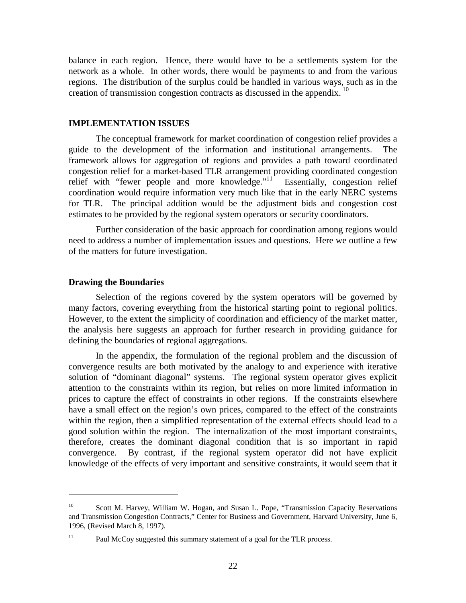balance in each region. Hence, there would have to be a settlements system for the network as a whole. In other words, there would be payments to and from the various regions. The distribution of the surplus could be handled in various ways, such as in the creation of transmission congestion contracts as discussed in the appendix. 10

#### **IMPLEMENTATION ISSUES**

The conceptual framework for market coordination of congestion relief provides a guide to the development of the information and institutional arrangements. The framework allows for aggregation of regions and provides a path toward coordinated congestion relief for a market-based TLR arrangement providing coordinated congestion relief with "fewer people and more knowledge."<sup>11</sup> Essentially, congestion relief coordination would require information very much like that in the early NERC systems for TLR. The principal addition would be the adjustment bids and congestion cost estimates to be provided by the regional system operators or security coordinators.

Further consideration of the basic approach for coordination among regions would need to address a number of implementation issues and questions. Here we outline a few of the matters for future investigation.

#### **Drawing the Boundaries**

 $\overline{a}$ 

Selection of the regions covered by the system operators will be governed by many factors, covering everything from the historical starting point to regional politics. However, to the extent the simplicity of coordination and efficiency of the market matter, the analysis here suggests an approach for further research in providing guidance for defining the boundaries of regional aggregations.

In the appendix, the formulation of the regional problem and the discussion of convergence results are both motivated by the analogy to and experience with iterative solution of "dominant diagonal" systems. The regional system operator gives explicit attention to the constraints within its region, but relies on more limited information in prices to capture the effect of constraints in other regions. If the constraints elsewhere have a small effect on the region's own prices, compared to the effect of the constraints within the region, then a simplified representation of the external effects should lead to a good solution within the region. The internalization of the most important constraints, therefore, creates the dominant diagonal condition that is so important in rapid convergence. By contrast, if the regional system operator did not have explicit knowledge of the effects of very important and sensitive constraints, it would seem that it

<sup>&</sup>lt;sup>10</sup> Scott M. Harvey, William W. Hogan, and Susan L. Pope, "Transmission Capacity Reservations" and Transmission Congestion Contracts," Center for Business and Government, Harvard University, June 6, 1996, (Revised March 8, 1997).

<sup>&</sup>lt;sup>11</sup> Paul McCoy suggested this summary statement of a goal for the TLR process.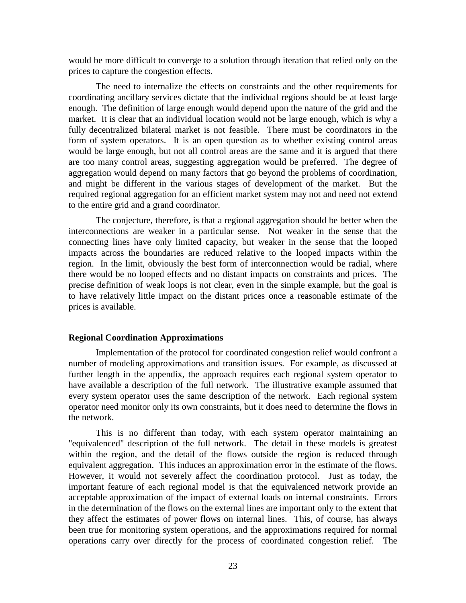would be more difficult to converge to a solution through iteration that relied only on the prices to capture the congestion effects.

The need to internalize the effects on constraints and the other requirements for coordinating ancillary services dictate that the individual regions should be at least large enough. The definition of large enough would depend upon the nature of the grid and the market. It is clear that an individual location would not be large enough, which is why a fully decentralized bilateral market is not feasible. There must be coordinators in the form of system operators. It is an open question as to whether existing control areas would be large enough, but not all control areas are the same and it is argued that there are too many control areas, suggesting aggregation would be preferred. The degree of aggregation would depend on many factors that go beyond the problems of coordination, and might be different in the various stages of development of the market. But the required regional aggregation for an efficient market system may not and need not extend to the entire grid and a grand coordinator.

The conjecture, therefore, is that a regional aggregation should be better when the interconnections are weaker in a particular sense. Not weaker in the sense that the connecting lines have only limited capacity, but weaker in the sense that the looped impacts across the boundaries are reduced relative to the looped impacts within the region. In the limit, obviously the best form of interconnection would be radial, where there would be no looped effects and no distant impacts on constraints and prices. The precise definition of weak loops is not clear, even in the simple example, but the goal is to have relatively little impact on the distant prices once a reasonable estimate of the prices is available.

#### **Regional Coordination Approximations**

Implementation of the protocol for coordinated congestion relief would confront a number of modeling approximations and transition issues. For example, as discussed at further length in the appendix, the approach requires each regional system operator to have available a description of the full network. The illustrative example assumed that every system operator uses the same description of the network. Each regional system operator need monitor only its own constraints, but it does need to determine the flows in the network.

This is no different than today, with each system operator maintaining an "equivalenced" description of the full network. The detail in these models is greatest within the region, and the detail of the flows outside the region is reduced through equivalent aggregation. This induces an approximation error in the estimate of the flows. However, it would not severely affect the coordination protocol. Just as today, the important feature of each regional model is that the equivalenced network provide an acceptable approximation of the impact of external loads on internal constraints. Errors in the determination of the flows on the external lines are important only to the extent that they affect the estimates of power flows on internal lines. This, of course, has always been true for monitoring system operations, and the approximations required for normal operations carry over directly for the process of coordinated congestion relief. The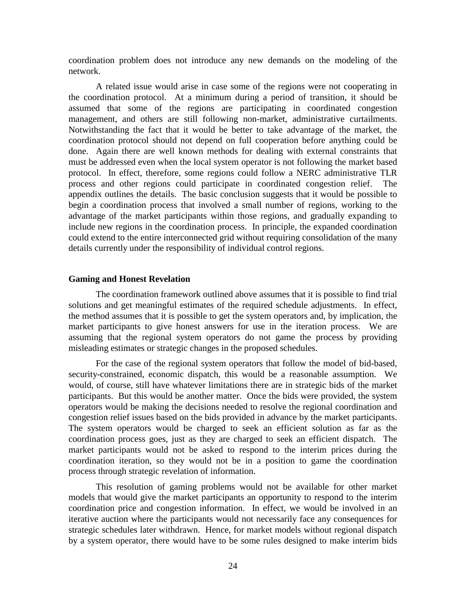coordination problem does not introduce any new demands on the modeling of the network.

A related issue would arise in case some of the regions were not cooperating in the coordination protocol. At a minimum during a period of transition, it should be assumed that some of the regions are participating in coordinated congestion management, and others are still following non-market, administrative curtailments. Notwithstanding the fact that it would be better to take advantage of the market, the coordination protocol should not depend on full cooperation before anything could be done. Again there are well known methods for dealing with external constraints that must be addressed even when the local system operator is not following the market based protocol. In effect, therefore, some regions could follow a NERC administrative TLR process and other regions could participate in coordinated congestion relief. The appendix outlines the details. The basic conclusion suggests that it would be possible to begin a coordination process that involved a small number of regions, working to the advantage of the market participants within those regions, and gradually expanding to include new regions in the coordination process. In principle, the expanded coordination could extend to the entire interconnected grid without requiring consolidation of the many details currently under the responsibility of individual control regions.

#### **Gaming and Honest Revelation**

The coordination framework outlined above assumes that it is possible to find trial solutions and get meaningful estimates of the required schedule adjustments. In effect, the method assumes that it is possible to get the system operators and, by implication, the market participants to give honest answers for use in the iteration process. We are assuming that the regional system operators do not game the process by providing misleading estimates or strategic changes in the proposed schedules.

For the case of the regional system operators that follow the model of bid-based, security-constrained, economic dispatch, this would be a reasonable assumption. We would, of course, still have whatever limitations there are in strategic bids of the market participants. But this would be another matter. Once the bids were provided, the system operators would be making the decisions needed to resolve the regional coordination and congestion relief issues based on the bids provided in advance by the market participants. The system operators would be charged to seek an efficient solution as far as the coordination process goes, just as they are charged to seek an efficient dispatch. The market participants would not be asked to respond to the interim prices during the coordination iteration, so they would not be in a position to game the coordination process through strategic revelation of information.

This resolution of gaming problems would not be available for other market models that would give the market participants an opportunity to respond to the interim coordination price and congestion information. In effect, we would be involved in an iterative auction where the participants would not necessarily face any consequences for strategic schedules later withdrawn. Hence, for market models without regional dispatch by a system operator, there would have to be some rules designed to make interim bids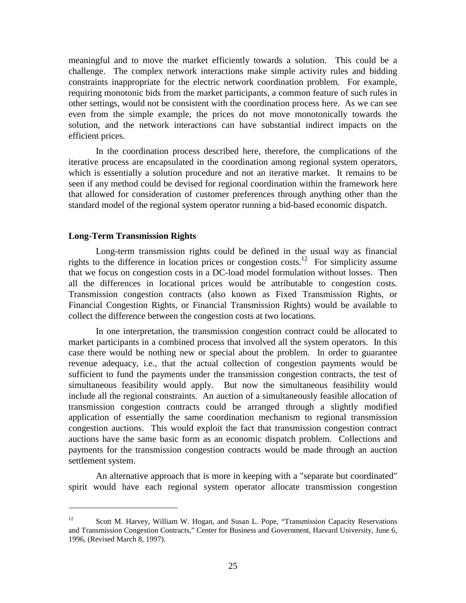meaningful and to move the market efficiently towards a solution. This could be a challenge. The complex network interactions make simple activity rules and bidding constraints inappropriate for the electric network coordination problem. For example, requiring monotonic bids from the market participants, a common feature of such rules in other settings, would not be consistent with the coordination process here. As we can see even from the simple example, the prices do not move monotonically towards the solution, and the network interactions can have substantial indirect impacts on the efficient prices.

In the coordination process described here, therefore, the complications of the iterative process are encapsulated in the coordination among regional system operators, which is essentially a solution procedure and not an iterative market. It remains to be seen if any method could be devised for regional coordination within the framework here that allowed for consideration of customer preferences through anything other than the standard model of the regional system operator running a bid-based economic dispatch.

#### **Long-Term Transmission Rights**

 $\overline{a}$ 

Long-term transmission rights could be defined in the usual way as financial rights to the difference in location prices or congestion costs.<sup>12</sup> For simplicity assume that we focus on congestion costs in a DC-load model formulation without losses. Then all the differences in locational prices would be attributable to congestion costs. Transmission congestion contracts (also known as Fixed Transmission Rights, or Financial Congestion Rights, or Financial Transmission Rights) would be available to collect the difference between the congestion costs at two locations.

In one interpretation, the transmission congestion contract could be allocated to market participants in a combined process that involved all the system operators. In this case there would be nothing new or special about the problem. In order to guarantee revenue adequacy, i.e., that the actual collection of congestion payments would be sufficient to fund the payments under the transmission congestion contracts, the test of simultaneous feasibility would apply. But now the simultaneous feasibility would include all the regional constraints. An auction of a simultaneously feasible allocation of transmission congestion contracts could be arranged through a slightly modified application of essentially the same coordination mechanism to regional transmission congestion auctions. This would exploit the fact that transmission congestion contract auctions have the same basic form as an economic dispatch problem. Collections and payments for the transmission congestion contracts would be made through an auction settlement system.

An alternative approach that is more in keeping with a "separate but coordinated" spirit would have each regional system operator allocate transmission congestion

<sup>&</sup>lt;sup>12</sup> Scott M. Harvey, William W. Hogan, and Susan L. Pope, "Transmission Capacity Reservations and Transmission Congestion Contracts," Center for Business and Government, Harvard University, June 6, 1996, (Revised March 8, 1997).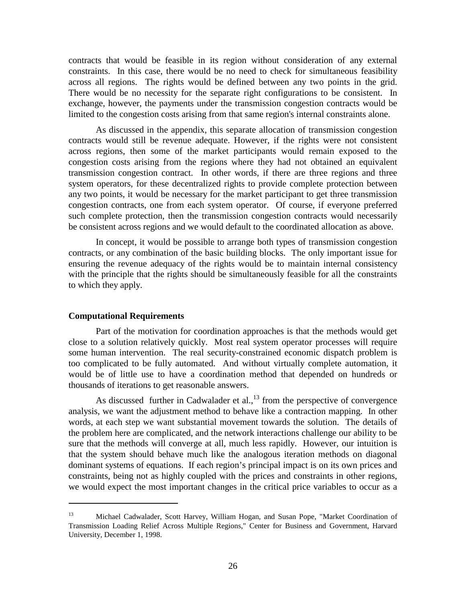contracts that would be feasible in its region without consideration of any external constraints. In this case, there would be no need to check for simultaneous feasibility across all regions. The rights would be defined between any two points in the grid. There would be no necessity for the separate right configurations to be consistent. In exchange, however, the payments under the transmission congestion contracts would be limited to the congestion costs arising from that same region's internal constraints alone.

As discussed in the appendix, this separate allocation of transmission congestion contracts would still be revenue adequate. However, if the rights were not consistent across regions, then some of the market participants would remain exposed to the congestion costs arising from the regions where they had not obtained an equivalent transmission congestion contract. In other words, if there are three regions and three system operators, for these decentralized rights to provide complete protection between any two points, it would be necessary for the market participant to get three transmission congestion contracts, one from each system operator. Of course, if everyone preferred such complete protection, then the transmission congestion contracts would necessarily be consistent across regions and we would default to the coordinated allocation as above.

In concept, it would be possible to arrange both types of transmission congestion contracts, or any combination of the basic building blocks. The only important issue for ensuring the revenue adequacy of the rights would be to maintain internal consistency with the principle that the rights should be simultaneously feasible for all the constraints to which they apply.

#### **Computational Requirements**

 $\overline{a}$ 

Part of the motivation for coordination approaches is that the methods would get close to a solution relatively quickly. Most real system operator processes will require some human intervention. The real security-constrained economic dispatch problem is too complicated to be fully automated. And without virtually complete automation, it would be of little use to have a coordination method that depended on hundreds or thousands of iterations to get reasonable answers.

As discussed further in Cadwalader et al., $^{13}$  from the perspective of convergence analysis, we want the adjustment method to behave like a contraction mapping. In other words, at each step we want substantial movement towards the solution. The details of the problem here are complicated, and the network interactions challenge our ability to be sure that the methods will converge at all, much less rapidly. However, our intuition is that the system should behave much like the analogous iteration methods on diagonal dominant systems of equations. If each region's principal impact is on its own prices and constraints, being not as highly coupled with the prices and constraints in other regions, we would expect the most important changes in the critical price variables to occur as a

<sup>13</sup> Michael Cadwalader, Scott Harvey, William Hogan, and Susan Pope, "Market Coordination of Transmission Loading Relief Across Multiple Regions," Center for Business and Government, Harvard University, December 1, 1998.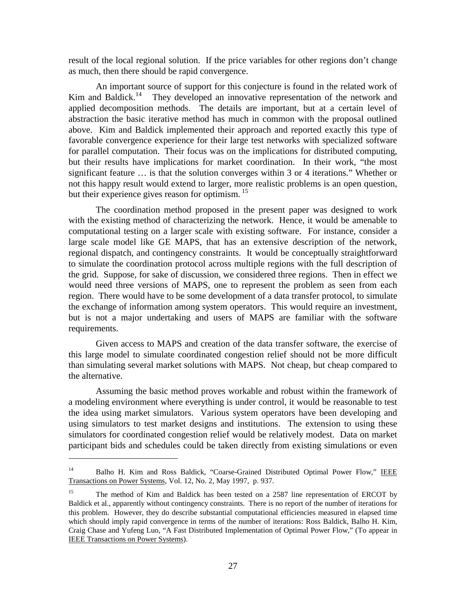result of the local regional solution. If the price variables for other regions don't change as much, then there should be rapid convergence.

An important source of support for this conjecture is found in the related work of Kim and Baldick.<sup>14</sup> They developed an innovative representation of the network and They developed an innovative representation of the network and applied decomposition methods. The details are important, but at a certain level of abstraction the basic iterative method has much in common with the proposal outlined above. Kim and Baldick implemented their approach and reported exactly this type of favorable convergence experience for their large test networks with specialized software for parallel computation. Their focus was on the implications for distributed computing, but their results have implications for market coordination. In their work, "the most significant feature … is that the solution converges within 3 or 4 iterations." Whether or not this happy result would extend to larger, more realistic problems is an open question, but their experience gives reason for optimism.<sup>15</sup>

The coordination method proposed in the present paper was designed to work with the existing method of characterizing the network. Hence, it would be amenable to computational testing on a larger scale with existing software. For instance, consider a large scale model like GE MAPS, that has an extensive description of the network, regional dispatch, and contingency constraints. It would be conceptually straightforward to simulate the coordination protocol across multiple regions with the full description of the grid. Suppose, for sake of discussion, we considered three regions. Then in effect we would need three versions of MAPS, one to represent the problem as seen from each region. There would have to be some development of a data transfer protocol, to simulate the exchange of information among system operators. This would require an investment, but is not a major undertaking and users of MAPS are familiar with the software requirements.

Given access to MAPS and creation of the data transfer software, the exercise of this large model to simulate coordinated congestion relief should not be more difficult than simulating several market solutions with MAPS. Not cheap, but cheap compared to the alternative.

Assuming the basic method proves workable and robust within the framework of a modeling environment where everything is under control, it would be reasonable to test the idea using market simulators. Various system operators have been developing and using simulators to test market designs and institutions. The extension to using these simulators for coordinated congestion relief would be relatively modest. Data on market participant bids and schedules could be taken directly from existing simulations or even

 $\overline{a}$ 

<sup>&</sup>lt;sup>14</sup> Balho H. Kim and Ross Baldick, "Coarse-Grained Distributed Optimal Power Flow," IEEE Transactions on Power Systems, Vol. 12, No. 2, May 1997, p. 937.

<sup>&</sup>lt;sup>15</sup> The method of Kim and Baldick has been tested on a 2587 line representation of ERCOT by Baldick et al., apparently without contingency constraints. There is no report of the number of iterations for this problem. However, they do describe substantial computational efficiencies measured in elapsed time which should imply rapid convergence in terms of the number of iterations: Ross Baldick, Balho H. Kim, Craig Chase and Yufeng Luo, "A Fast Distributed Implementation of Optimal Power Flow," (To appear in IEEE Transactions on Power Systems).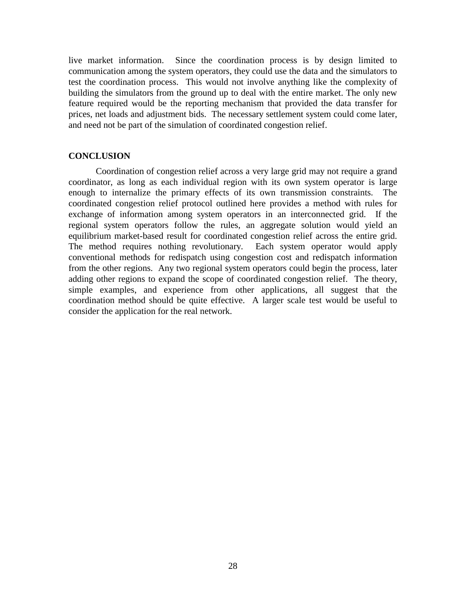live market information. Since the coordination process is by design limited to communication among the system operators, they could use the data and the simulators to test the coordination process. This would not involve anything like the complexity of building the simulators from the ground up to deal with the entire market. The only new feature required would be the reporting mechanism that provided the data transfer for prices, net loads and adjustment bids. The necessary settlement system could come later, and need not be part of the simulation of coordinated congestion relief.

#### **CONCLUSION**

Coordination of congestion relief across a very large grid may not require a grand coordinator, as long as each individual region with its own system operator is large enough to internalize the primary effects of its own transmission constraints. The coordinated congestion relief protocol outlined here provides a method with rules for exchange of information among system operators in an interconnected grid. If the regional system operators follow the rules, an aggregate solution would yield an equilibrium market-based result for coordinated congestion relief across the entire grid. The method requires nothing revolutionary. Each system operator would apply conventional methods for redispatch using congestion cost and redispatch information from the other regions. Any two regional system operators could begin the process, later adding other regions to expand the scope of coordinated congestion relief. The theory, simple examples, and experience from other applications, all suggest that the coordination method should be quite effective. A larger scale test would be useful to consider the application for the real network.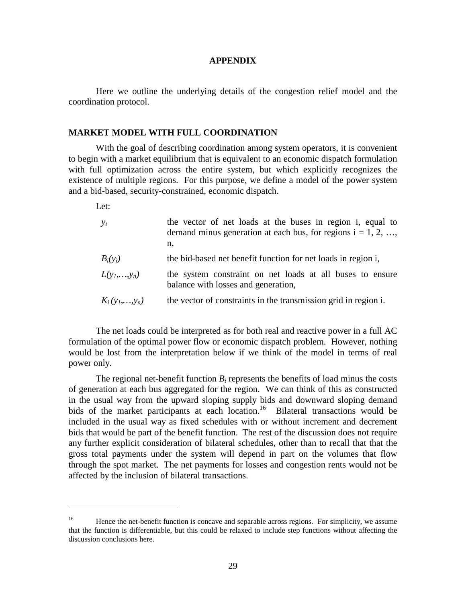#### **APPENDIX**

Here we outline the underlying details of the congestion relief model and the coordination protocol.

#### **MARKET MODEL WITH FULL COORDINATION**

With the goal of describing coordination among system operators, it is convenient to begin with a market equilibrium that is equivalent to an economic dispatch formulation with full optimization across the entire system, but which explicitly recognizes the existence of multiple regions. For this purpose, we define a model of the power system and a bid-based, security-constrained, economic dispatch.

Let:

 $\overline{a}$ 

| $y_i$                 | the vector of net loads at the buses in region i, equal to<br>demand minus generation at each bus, for regions $i = 1, 2, ,$<br>n, |
|-----------------------|------------------------------------------------------------------------------------------------------------------------------------|
| $B_i(y_i)$            | the bid-based net benefit function for net loads in region i,                                                                      |
| $L(y_1,,y_n)$         | the system constraint on net loads at all buses to ensure<br>balance with losses and generation,                                   |
| $K_i(y_1,\ldots,y_n)$ | the vector of constraints in the transmission grid in region i.                                                                    |

The net loads could be interpreted as for both real and reactive power in a full AC formulation of the optimal power flow or economic dispatch problem. However, nothing would be lost from the interpretation below if we think of the model in terms of real power only.

The regional net-benefit function  $B_i$  represents the benefits of load minus the costs of generation at each bus aggregated for the region. We can think of this as constructed in the usual way from the upward sloping supply bids and downward sloping demand bids of the market participants at each location.<sup>16</sup> Bilateral transactions would be included in the usual way as fixed schedules with or without increment and decrement bids that would be part of the benefit function. The rest of the discussion does not require any further explicit consideration of bilateral schedules, other than to recall that that the gross total payments under the system will depend in part on the volumes that flow through the spot market. The net payments for losses and congestion rents would not be affected by the inclusion of bilateral transactions.

<sup>&</sup>lt;sup>16</sup> Hence the net-benefit function is concave and separable across regions. For simplicity, we assume that the function is differentiable, but this could be relaxed to include step functions without affecting the discussion conclusions here.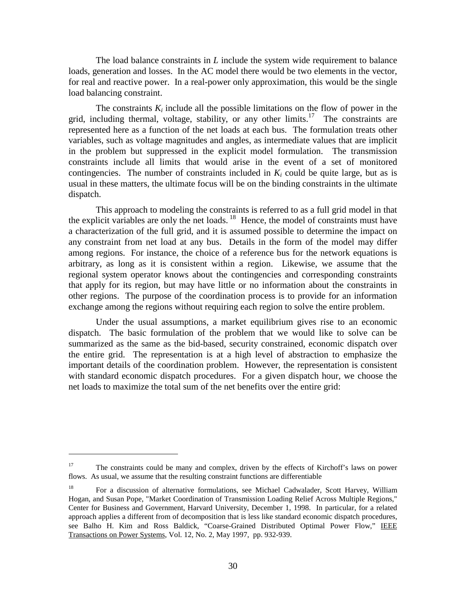The load balance constraints in *L* include the system wide requirement to balance loads, generation and losses. In the AC model there would be two elements in the vector, for real and reactive power. In a real-power only approximation, this would be the single load balancing constraint.

The constraints  $K_i$  include all the possible limitations on the flow of power in the grid, including thermal, voltage, stability, or any other limits.<sup>17</sup> The constraints are represented here as a function of the net loads at each bus. The formulation treats other variables, such as voltage magnitudes and angles, as intermediate values that are implicit in the problem but suppressed in the explicit model formulation. The transmission constraints include all limits that would arise in the event of a set of monitored contingencies. The number of constraints included in  $K_i$  could be quite large, but as is usual in these matters, the ultimate focus will be on the binding constraints in the ultimate dispatch.

This approach to modeling the constraints is referred to as a full grid model in that the explicit variables are only the net loads.<sup>18</sup> Hence, the model of constraints must have a characterization of the full grid, and it is assumed possible to determine the impact on any constraint from net load at any bus. Details in the form of the model may differ among regions. For instance, the choice of a reference bus for the network equations is arbitrary, as long as it is consistent within a region. Likewise, we assume that the regional system operator knows about the contingencies and corresponding constraints that apply for its region, but may have little or no information about the constraints in other regions. The purpose of the coordination process is to provide for an information exchange among the regions without requiring each region to solve the entire problem.

Under the usual assumptions, a market equilibrium gives rise to an economic dispatch. The basic formulation of the problem that we would like to solve can be summarized as the same as the bid-based, security constrained, economic dispatch over the entire grid. The representation is at a high level of abstraction to emphasize the important details of the coordination problem. However, the representation is consistent with standard economic dispatch procedures. For a given dispatch hour, we choose the net loads to maximize the total sum of the net benefits over the entire grid:

 $\overline{a}$ 

<sup>&</sup>lt;sup>17</sup> The constraints could be many and complex, driven by the effects of Kirchoff's laws on power flows. As usual, we assume that the resulting constraint functions are differentiable

<sup>&</sup>lt;sup>18</sup> For a discussion of alternative formulations, see Michael Cadwalader, Scott Harvey, William Hogan, and Susan Pope, "Market Coordination of Transmission Loading Relief Across Multiple Regions," Center for Business and Government, Harvard University, December 1, 1998. In particular, for a related approach applies a different from of decomposition that is less like standard economic dispatch procedures, see Balho H. Kim and Ross Baldick, "Coarse-Grained Distributed Optimal Power Flow," IEEE Transactions on Power Systems, Vol. 12, No. 2, May 1997, pp. 932-939.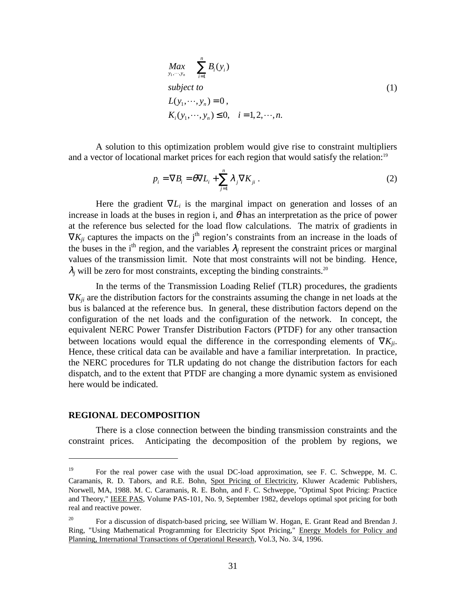$$
Max_{y_1, \dots, y_n} \sum_{i=1}^n B_i(y_i)
$$
  
\nsubject to  
\n
$$
L(y_1, \dots, y_n) = 0,
$$
  
\n
$$
K_i(y_1, \dots, y_n) \le 0, \quad i = 1, 2, \dots, n.
$$
\n(1)

A solution to this optimization problem would give rise to constraint multipliers and a vector of locational market prices for each region that would satisfy the relation:<sup>19</sup>

$$
p_i = \nabla B_i = \theta \nabla L_i + \sum_{j=1}^n \lambda_j \nabla K_{ji} .
$$
 (2)

Here the gradient  $\nabla L_i$  is the marginal impact on generation and losses of an increase in loads at the buses in region i, and  $\theta$  has an interpretation as the price of power at the reference bus selected for the load flow calculations. The matrix of gradients in  $\nabla K_{ii}$  captures the impacts on the j<sup>th</sup> region's constraints from an increase in the loads of the buses in the i<sup>th</sup> region, and the variables  $\lambda_i$  represent the constraint prices or marginal values of the transmission limit. Note that most constraints will not be binding. Hence,  $\lambda_j$  will be zero for most constraints, excepting the binding constraints.<sup>20</sup>

In the terms of the Transmission Loading Relief (TLR) procedures, the gradients  $\nabla K_{ii}$  are the distribution factors for the constraints assuming the change in net loads at the bus is balanced at the reference bus. In general, these distribution factors depend on the configuration of the net loads and the configuration of the network. In concept, the equivalent NERC Power Transfer Distribution Factors (PTDF) for any other transaction between locations would equal the difference in the corresponding elements of ∇*Kji*. Hence, these critical data can be available and have a familiar interpretation. In practice, the NERC procedures for TLR updating do not change the distribution factors for each dispatch, and to the extent that PTDF are changing a more dynamic system as envisioned here would be indicated.

#### **REGIONAL DECOMPOSITION**

 $\overline{a}$ 

There is a close connection between the binding transmission constraints and the constraint prices. Anticipating the decomposition of the problem by regions, we

<sup>&</sup>lt;sup>19</sup> For the real power case with the usual DC-load approximation, see F. C. Schweppe, M. C. Caramanis, R. D. Tabors, and R.E. Bohn, Spot Pricing of Electricity, Kluwer Academic Publishers, Norwell, MA, 1988. M. C. Caramanis, R. E. Bohn, and F. C. Schweppe, "Optimal Spot Pricing: Practice and Theory," IEEE PAS, Volume PAS-101, No. 9, September 1982, develops optimal spot pricing for both real and reactive power.

<sup>&</sup>lt;sup>20</sup> For a discussion of dispatch-based pricing, see William W. Hogan, E. Grant Read and Brendan J. Ring, "Using Mathematical Programming for Electricity Spot Pricing," Energy Models for Policy and Planning, International Transactions of Operational Research, Vol.3, No. 3/4, 1996.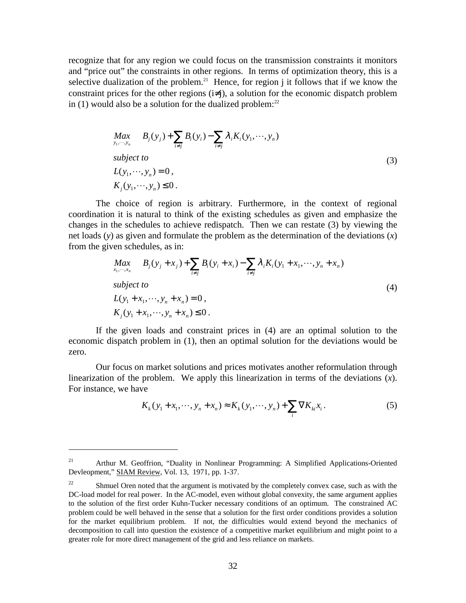recognize that for any region we could focus on the transmission constraints it monitors and "price out" the constraints in other regions. In terms of optimization theory, this is a selective dualization of the problem.<sup>21</sup> Hence, for region j it follows that if we know the constraint prices for the other regions  $(i\neq j)$ , a solution for the economic dispatch problem in  $(1)$  would also be a solution for the dualized problem:<sup>22</sup>

$$
Max_{y_1, \dots, y_n} B_j(y_j) + \sum_{i \neq j} B_i(y_i) - \sum_{i \neq j} \lambda_i K_i(y_1, \dots, y_n)
$$
  
\nsubject to  
\n
$$
L(y_1, \dots, y_n) = 0,
$$
  
\n
$$
K_j(y_1, \dots, y_n) \le 0.
$$
\n(3)

The choice of region is arbitrary. Furthermore, in the context of regional coordination it is natural to think of the existing schedules as given and emphasize the changes in the schedules to achieve redispatch. Then we can restate (3) by viewing the net loads (*y*) as given and formulate the problem as the determination of the deviations (*x*) from the given schedules, as in:

$$
Max_{x_1, \dots, x_n} B_j(y_j + x_j) + \sum_{i \neq j} B_i(y_i + x_i) - \sum_{i \neq j} \lambda_i K_i(y_1 + x_1, \dots, y_n + x_n)
$$
  
\nsubject to  
\n
$$
L(y_1 + x_1, \dots, y_n + x_n) = 0,
$$
  
\n
$$
K_j(y_1 + x_1, \dots, y_n + x_n) \le 0.
$$
\n(4)

If the given loads and constraint prices in (4) are an optimal solution to the economic dispatch problem in (1), then an optimal solution for the deviations would be zero.

Our focus on market solutions and prices motivates another reformulation through linearization of the problem. We apply this linearization in terms of the deviations (*x*). For instance, we have

$$
K_{k}(y_{1} + x_{1}, \cdots, y_{n} + x_{n}) \approx K_{k}(y_{1}, \cdots, y_{n}) + \sum_{i} \nabla K_{ki} x_{i}.
$$
 (5)

 $\overline{a}$ 

<sup>&</sup>lt;sup>21</sup> Arthur M. Geoffrion, "Duality in Nonlinear Programming: A Simplified Applications-Oriented Devleopment," SIAM Review, Vol. 13, 1971, pp. 1-37.

 $22$  Shmuel Oren noted that the argument is motivated by the completely convex case, such as with the DC-load model for real power. In the AC-model, even without global convexity, the same argument applies to the solution of the first order Kuhn-Tucker necessary conditions of an optimum. The constrained AC problem could be well behaved in the sense that a solution for the first order conditions provides a solution for the market equilibrium problem. If not, the difficulties would extend beyond the mechanics of decomposition to call into question the existence of a competitive market equilibrium and might point to a greater role for more direct management of the grid and less reliance on markets.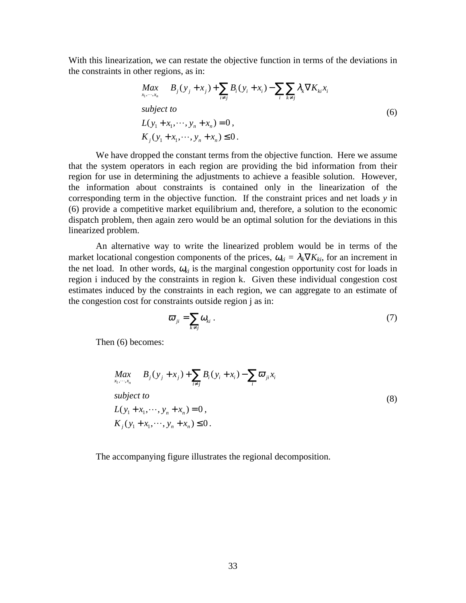With this linearization, we can restate the objective function in terms of the deviations in the constraints in other regions, as in:

$$
Max_{x_1, \dots, x_n} B_j(y_j + x_j) + \sum_{i \neq j} B_i(y_i + x_i) - \sum_i \sum_{k \neq j} \lambda_k \nabla K_{ki} x_i
$$
  
\nsubject to  
\n
$$
L(y_1 + x_1, \dots, y_n + x_n) = 0,
$$
  
\n
$$
K_j(y_1 + x_1, \dots, y_n + x_n) \le 0.
$$
\n(6)

We have dropped the constant terms from the objective function. Here we assume that the system operators in each region are providing the bid information from their region for use in determining the adjustments to achieve a feasible solution. However, the information about constraints is contained only in the linearization of the corresponding term in the objective function. If the constraint prices and net loads *y* in (6) provide a competitive market equilibrium and, therefore, a solution to the economic dispatch problem, then again zero would be an optimal solution for the deviations in this linearized problem.

An alternative way to write the linearized problem would be in terms of the market locational congestion components of the prices,  $\omega_{ki} = \lambda_k \nabla K_{ki}$ , for an increment in the net load. In other words,  $\omega_{ki}$  is the marginal congestion opportunity cost for loads in region i induced by the constraints in region k. Given these individual congestion cost estimates induced by the constraints in each region, we can aggregate to an estimate of the congestion cost for constraints outside region j as in:

$$
\varpi_{ji} = \sum_{k \neq j} \omega_{ki} \ . \tag{7}
$$

Then (6) becomes:

$$
Max_{x_1, \dots, x_n} B_j(y_j + x_j) + \sum_{i \neq j} B_i(y_i + x_i) - \sum_i \varpi_{ji} x_i
$$
  
\nsubject to  
\n
$$
L(y_1 + x_1, \dots, y_n + x_n) = 0,
$$
  
\n
$$
K_j(y_1 + x_1, \dots, y_n + x_n) \le 0.
$$
\n(8)

The accompanying figure illustrates the regional decomposition.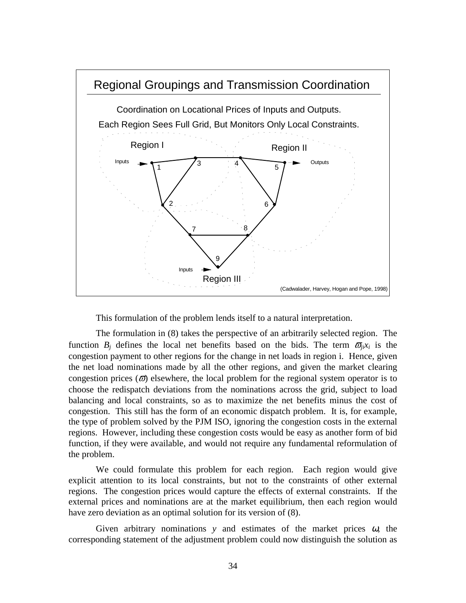

This formulation of the problem lends itself to a natural interpretation.

The formulation in (8) takes the perspective of an arbitrarily selected region. The function  $B_i$  defines the local net benefits based on the bids. The term  $\sigma_{ii}x_i$  is the congestion payment to other regions for the change in net loads in region i. Hence, given the net load nominations made by all the other regions, and given the market clearing congestion prices ( $\varpi$ ) elsewhere, the local problem for the regional system operator is to choose the redispatch deviations from the nominations across the grid, subject to load balancing and local constraints, so as to maximize the net benefits minus the cost of congestion. This still has the form of an economic dispatch problem. It is, for example, the type of problem solved by the PJM ISO, ignoring the congestion costs in the external regions. However, including these congestion costs would be easy as another form of bid function, if they were available, and would not require any fundamental reformulation of the problem.

We could formulate this problem for each region. Each region would give explicit attention to its local constraints, but not to the constraints of other external regions. The congestion prices would capture the effects of external constraints. If the external prices and nominations are at the market equilibrium, then each region would have zero deviation as an optimal solution for its version of (8).

Given arbitrary nominations  $y$  and estimates of the market prices  $\omega$ , the corresponding statement of the adjustment problem could now distinguish the solution as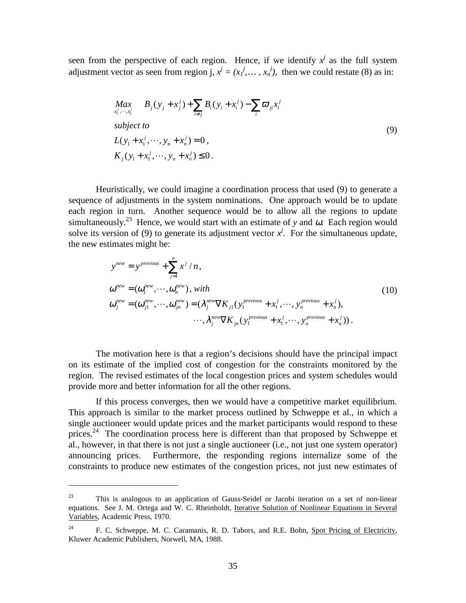seen from the perspective of each region. Hence, if we identify  $x^j$  as the full system adjustment vector as seen from region j,  $x^j = (x_1^j, \dots, x_n^j)$ , then we could restate (8) as in:

$$
\begin{aligned}\n\text{Max}_{x_1^j, \dots, x_i^j} & B_j(y_j + x_j^j) + \sum_{i \neq j} B_i(y_i + x_i^j) - \sum_i \varpi_{ji} x_i^j \\
\text{subject to} \\
L(y_1 + x_1^j, \dots, y_n + x_n^j) &= 0, \\
K_j(y_1 + x_1^j, \dots, y_n + x_n^j) &\leq 0.\n\end{aligned} \tag{9}
$$

Heuristically, we could imagine a coordination process that used (9) to generate a sequence of adjustments in the system nominations. One approach would be to update each region in turn. Another sequence would be to allow all the regions to update simultaneously.<sup>23</sup> Hence, we would start with an estimate of y and  $\omega$ . Each region would solve its version of (9) to generate its adjustment vector  $x^j$ . For the simultaneous update, the new estimates might be:

$$
y^{new} = y^{previous} + \sum_{j=1}^{n} x^{j} / n,
$$
  
\n
$$
\omega^{new} = (\omega_1^{new}, \dots, \omega_n^{new}), with
$$
  
\n
$$
\omega_j^{new} = (\omega_{j1}^{new}, \dots, \omega_{jn}^{new}) = (\lambda_j^{new} \nabla K_{j1} (y_1^{previous} + x_1^j, \dots, y_n^{previous} + x_n^j), \dots, \lambda_j^{new} \nabla K_{jn} (y_1^{previous} + x_1^j, \dots, y_n^{previous} + x_n^j)).
$$
\n(10)

The motivation here is that a region's decisions should have the principal impact on its estimate of the implied cost of congestion for the constraints monitored by the region. The revised estimates of the local congestion prices and system schedules would provide more and better information for all the other regions.

If this process converges, then we would have a competitive market equilibrium. This approach is similar to the market process outlined by Schweppe et al., in which a single auctioneer would update prices and the market participants would respond to these prices.<sup>24</sup> The coordination process here is different than that proposed by Schweppe et al., however, in that there is not just a single auctioneer (i.e., not just one system operator) announcing prices. Furthermore, the responding regions internalize some of the constraints to produce new estimates of the congestion prices, not just new estimates of

 $\overline{a}$ 

<sup>&</sup>lt;sup>23</sup> This is analogous to an application of Gauss-Seidel or Jacobi iteration on a set of non-linear equations. See J. M. Ortega and W. C. Rheinboldt, Iterative Solution of Nonlinear Equations in Several Variables, Academic Press, 1970.

<sup>&</sup>lt;sup>24</sup> F. C. Schweppe, M. C. Caramanis, R. D. Tabors, and R.E. Bohn, Spot Pricing of Electricity, Kluwer Academic Publishers, Norwell, MA, 1988.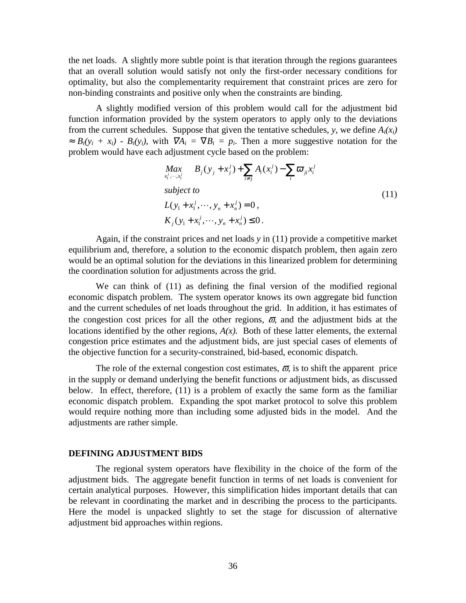the net loads. A slightly more subtle point is that iteration through the regions guarantees that an overall solution would satisfy not only the first-order necessary conditions for optimality, but also the complementarity requirement that constraint prices are zero for non-binding constraints and positive only when the constraints are binding.

A slightly modified version of this problem would call for the adjustment bid function information provided by the system operators to apply only to the deviations from the current schedules. Suppose that given the tentative schedules,  $y$ , we define  $A_i(x_i)$  $\approx B_i(y_i + x_i) - B_i(y_i)$ , with  $\nabla A_i = \nabla B_i = p_i$ . Then a more suggestive notation for the problem would have each adjustment cycle based on the problem:

$$
\begin{aligned}\n\mathbf{Max}_{x_1^j, \dots, x_i^j} & B_j(y_j + x_j^j) + \sum_{i \neq j} A_i(x_i^j) - \sum_i \varpi_{ji} x_i^j \\
\text{subject to} \\
L(y_1 + x_1^j, \dots, y_n + x_n^j) &= 0, \\
K_j(y_1 + x_1^j, \dots, y_n + x_n^j) &\leq 0.\n\end{aligned} \tag{11}
$$

Again, if the constraint prices and net loads *y* in (11) provide a competitive market equilibrium and, therefore, a solution to the economic dispatch problem, then again zero would be an optimal solution for the deviations in this linearized problem for determining the coordination solution for adjustments across the grid.

We can think of (11) as defining the final version of the modified regional economic dispatch problem. The system operator knows its own aggregate bid function and the current schedules of net loads throughout the grid. In addition, it has estimates of the congestion cost prices for all the other regions,  $\varpi$ , and the adjustment bids at the locations identified by the other regions, *A(x)*. Both of these latter elements, the external congestion price estimates and the adjustment bids, are just special cases of elements of the objective function for a security-constrained, bid-based, economic dispatch.

The role of the external congestion cost estimates,  $\bar{\omega}$ , is to shift the apparent price in the supply or demand underlying the benefit functions or adjustment bids, as discussed below. In effect, therefore, (11) is a problem of exactly the same form as the familiar economic dispatch problem. Expanding the spot market protocol to solve this problem would require nothing more than including some adjusted bids in the model. And the adjustments are rather simple.

#### **DEFINING ADJUSTMENT BIDS**

The regional system operators have flexibility in the choice of the form of the adjustment bids. The aggregate benefit function in terms of net loads is convenient for certain analytical purposes. However, this simplification hides important details that can be relevant in coordinating the market and in describing the process to the participants. Here the model is unpacked slightly to set the stage for discussion of alternative adjustment bid approaches within regions.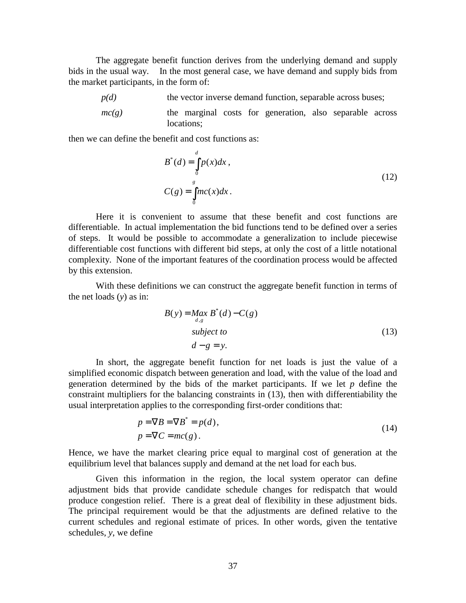The aggregate benefit function derives from the underlying demand and supply bids in the usual way. In the most general case, we have demand and supply bids from the market participants, in the form of:

*p(d)* the vector inverse demand function, separable across buses; *mc(g)* the marginal costs for generation, also separable across locations:

then we can define the benefit and cost functions as:

$$
B^*(d) = \int_{0}^{d} p(x)dx,
$$
  
\n
$$
C(g) = \int_{0}^{g} mc(x)dx.
$$
\n(12)

Here it is convenient to assume that these benefit and cost functions are differentiable. In actual implementation the bid functions tend to be defined over a series of steps. It would be possible to accommodate a generalization to include piecewise differentiable cost functions with different bid steps, at only the cost of a little notational complexity. None of the important features of the coordination process would be affected by this extension.

With these definitions we can construct the aggregate benefit function in terms of the net loads (*y*) as in:

$$
B(y) = \underset{d,g}{\text{Max }} B^*(d) - C(g)
$$
  
subject to  

$$
d - g = y.
$$
 (13)

In short, the aggregate benefit function for net loads is just the value of a simplified economic dispatch between generation and load, with the value of the load and generation determined by the bids of the market participants. If we let *p* define the constraint multipliers for the balancing constraints in (13), then with differentiability the usual interpretation applies to the corresponding first-order conditions that:

$$
p = \nabla B = \nabla B^* = p(d),
$$
  
\n
$$
p = \nabla C = mc(g).
$$
\n(14)

Hence, we have the market clearing price equal to marginal cost of generation at the equilibrium level that balances supply and demand at the net load for each bus.

Given this information in the region, the local system operator can define adjustment bids that provide candidate schedule changes for redispatch that would produce congestion relief. There is a great deal of flexibility in these adjustment bids. The principal requirement would be that the adjustments are defined relative to the current schedules and regional estimate of prices. In other words, given the tentative schedules, *y*, we define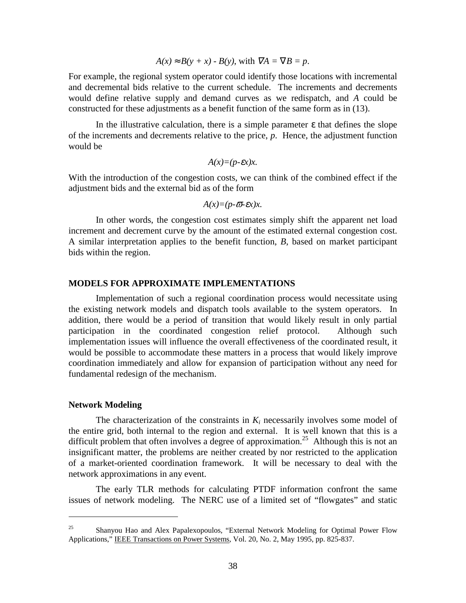$$
A(x) \approx B(y + x) - B(y)
$$
, with  $\nabla A = \nabla B = p$ .

For example, the regional system operator could identify those locations with incremental and decremental bids relative to the current schedule. The increments and decrements would define relative supply and demand curves as we redispatch, and *A* could be constructed for these adjustments as a benefit function of the same form as in (13).

In the illustrative calculation, there is a simple parameter  $\varepsilon$  that defines the slope of the increments and decrements relative to the price, *p*. Hence, the adjustment function would be

$$
A(x)=(p-\varepsilon x)x.
$$

With the introduction of the congestion costs, we can think of the combined effect if the adjustment bids and the external bid as of the form

$$
A(x)=(p-\overline{\omega}-\varepsilon x)x.
$$

In other words, the congestion cost estimates simply shift the apparent net load increment and decrement curve by the amount of the estimated external congestion cost. A similar interpretation applies to the benefit function, *B*, based on market participant bids within the region.

#### **MODELS FOR APPROXIMATE IMPLEMENTATIONS**

Implementation of such a regional coordination process would necessitate using the existing network models and dispatch tools available to the system operators. In addition, there would be a period of transition that would likely result in only partial participation in the coordinated congestion relief protocol. Although such implementation issues will influence the overall effectiveness of the coordinated result, it would be possible to accommodate these matters in a process that would likely improve coordination immediately and allow for expansion of participation without any need for fundamental redesign of the mechanism.

#### **Network Modeling**

 $\overline{a}$ 

The characterization of the constraints in  $K_i$  necessarily involves some model of the entire grid, both internal to the region and external. It is well known that this is a difficult problem that often involves a degree of approximation.<sup>25</sup> Although this is not an insignificant matter, the problems are neither created by nor restricted to the application of a market-oriented coordination framework. It will be necessary to deal with the network approximations in any event.

The early TLR methods for calculating PTDF information confront the same issues of network modeling. The NERC use of a limited set of "flowgates" and static

<sup>&</sup>lt;sup>25</sup> Shanyou Hao and Alex Papalexopoulos, "External Network Modeling for Optimal Power Flow Applications," IEEE Transactions on Power Systems, Vol. 20, No. 2, May 1995, pp. 825-837.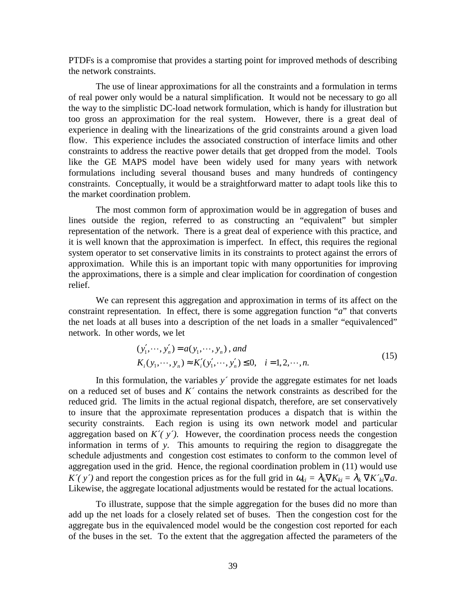PTDFs is a compromise that provides a starting point for improved methods of describing the network constraints.

The use of linear approximations for all the constraints and a formulation in terms of real power only would be a natural simplification. It would not be necessary to go all the way to the simplistic DC-load network formulation, which is handy for illustration but too gross an approximation for the real system. However, there is a great deal of experience in dealing with the linearizations of the grid constraints around a given load flow. This experience includes the associated construction of interface limits and other constraints to address the reactive power details that get dropped from the model. Tools like the GE MAPS model have been widely used for many years with network formulations including several thousand buses and many hundreds of contingency constraints. Conceptually, it would be a straightforward matter to adapt tools like this to the market coordination problem.

The most common form of approximation would be in aggregation of buses and lines outside the region, referred to as constructing an "equivalent" but simpler representation of the network. There is a great deal of experience with this practice, and it is well known that the approximation is imperfect. In effect, this requires the regional system operator to set conservative limits in its constraints to protect against the errors of approximation. While this is an important topic with many opportunities for improving the approximations, there is a simple and clear implication for coordination of congestion relief.

We can represent this aggregation and approximation in terms of its affect on the constraint representation. In effect, there is some aggregation function "*a*" that converts the net loads at all buses into a description of the net loads in a smaller "equivalenced" network. In other words, we let

$$
(y'_1, \dots, y'_n) = a(y_1, \dots, y_n), and
$$
  
\n $K_i(y_1, \dots, y_n) \approx K'_i(y'_1, \dots, y'_n) \le 0, \quad i = 1, 2, \dots, n.$  (15)

In this formulation, the variables *y´* provide the aggregate estimates for net loads on a reduced set of buses and *K´* contains the network constraints as described for the reduced grid. The limits in the actual regional dispatch, therefore, are set conservatively to insure that the approximate representation produces a dispatch that is within the security constraints. Each region is using its own network model and particular aggregation based on  $K(\gamma)$ . However, the coordination process needs the congestion information in terms of *y*. This amounts to requiring the region to disaggregate the schedule adjustments and congestion cost estimates to conform to the common level of aggregation used in the grid. Hence, the regional coordination problem in (11) would use  $K'(y')$  and report the congestion prices as for the full grid in  $\omega_{ki} = \lambda_k \nabla K_{ki} = \lambda_k \nabla K'_{ki} \nabla a$ . Likewise, the aggregate locational adjustments would be restated for the actual locations.

To illustrate, suppose that the simple aggregation for the buses did no more than add up the net loads for a closely related set of buses. Then the congestion cost for the aggregate bus in the equivalenced model would be the congestion cost reported for each of the buses in the set. To the extent that the aggregation affected the parameters of the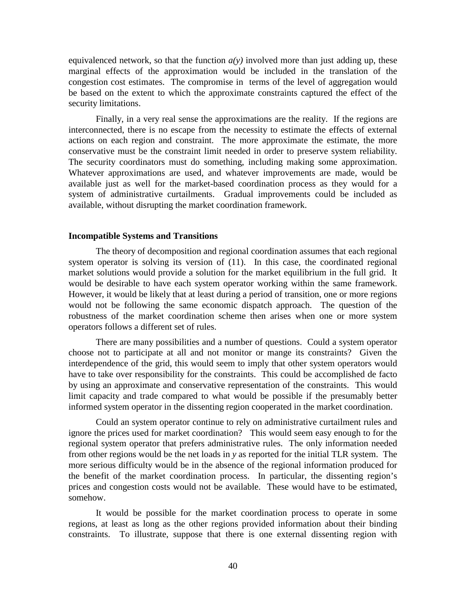equivalenced network, so that the function  $a(y)$  involved more than just adding up, these marginal effects of the approximation would be included in the translation of the congestion cost estimates. The compromise in terms of the level of aggregation would be based on the extent to which the approximate constraints captured the effect of the security limitations.

Finally, in a very real sense the approximations are the reality. If the regions are interconnected, there is no escape from the necessity to estimate the effects of external actions on each region and constraint. The more approximate the estimate, the more conservative must be the constraint limit needed in order to preserve system reliability. The security coordinators must do something, including making some approximation. Whatever approximations are used, and whatever improvements are made, would be available just as well for the market-based coordination process as they would for a system of administrative curtailments. Gradual improvements could be included as available, without disrupting the market coordination framework.

#### **Incompatible Systems and Transitions**

The theory of decomposition and regional coordination assumes that each regional system operator is solving its version of (11). In this case, the coordinated regional market solutions would provide a solution for the market equilibrium in the full grid. It would be desirable to have each system operator working within the same framework. However, it would be likely that at least during a period of transition, one or more regions would not be following the same economic dispatch approach. The question of the robustness of the market coordination scheme then arises when one or more system operators follows a different set of rules.

There are many possibilities and a number of questions. Could a system operator choose not to participate at all and not monitor or mange its constraints? Given the interdependence of the grid, this would seem to imply that other system operators would have to take over responsibility for the constraints. This could be accomplished de facto by using an approximate and conservative representation of the constraints. This would limit capacity and trade compared to what would be possible if the presumably better informed system operator in the dissenting region cooperated in the market coordination.

Could an system operator continue to rely on administrative curtailment rules and ignore the prices used for market coordination? This would seem easy enough to for the regional system operator that prefers administrative rules. The only information needed from other regions would be the net loads in *y* as reported for the initial TLR system. The more serious difficulty would be in the absence of the regional information produced for the benefit of the market coordination process. In particular, the dissenting region's prices and congestion costs would not be available. These would have to be estimated, somehow.

It would be possible for the market coordination process to operate in some regions, at least as long as the other regions provided information about their binding constraints. To illustrate, suppose that there is one external dissenting region with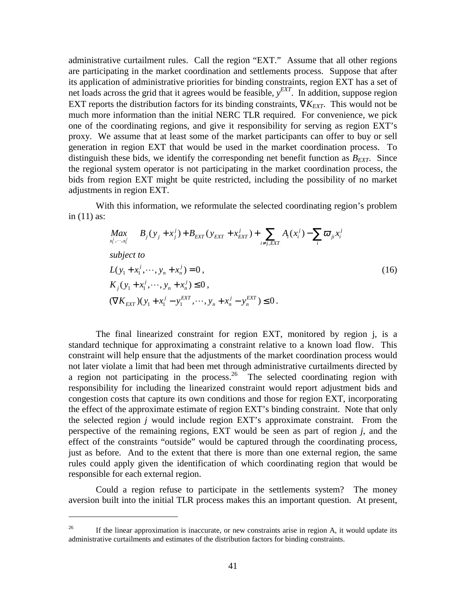administrative curtailment rules. Call the region "EXT." Assume that all other regions are participating in the market coordination and settlements process. Suppose that after its application of administrative priorities for binding constraints, region EXT has a set of net loads across the grid that it agrees would be feasible, *y EXT*. In addition, suppose region EXT reports the distribution factors for its binding constraints,  $\nabla K_{EXT}$ . This would not be much more information than the initial NERC TLR required. For convenience, we pick one of the coordinating regions, and give it responsibility for serving as region EXT's proxy. We assume that at least some of the market participants can offer to buy or sell generation in region EXT that would be used in the market coordination process. To distinguish these bids, we identify the corresponding net benefit function as  $B_{\text{EXT}}$ . Since the regional system operator is not participating in the market coordination process, the bids from region EXT might be quite restricted, including the possibility of no market adjustments in region EXT.

With this information, we reformulate the selected coordinating region's problem in (11) as:

$$
Max_{x_1^j, \dots, x_l^j} B_j(y_j + x_j^j) + B_{EXT}(y_{EXT} + x_{EXT}^j) + \sum_{i \neq j, EXT} A_i(x_i^j) - \sum_i \varpi_{ji} x_i^j
$$
\nsubject to\n
$$
L(y_1 + x_1^j, \dots, y_n + x_n^j) = 0,
$$
\n
$$
K_j(y_1 + x_1^j, \dots, y_n + x_n^j) \le 0,
$$
\n
$$
(\nabla K_{EXT})(y_1 + x_1^j - y_1^{EXT}, \dots, y_n + x_n^j - y_n^{EXT}) \le 0.
$$
\n(16)

The final linearized constraint for region EXT, monitored by region j, is a standard technique for approximating a constraint relative to a known load flow. This constraint will help ensure that the adjustments of the market coordination process would not later violate a limit that had been met through administrative curtailments directed by a region not participating in the process.<sup>26</sup> The selected coordinating region with responsibility for including the linearized constraint would report adjustment bids and congestion costs that capture its own conditions and those for region EXT, incorporating the effect of the approximate estimate of region EXT's binding constraint. Note that only the selected region *j* would include region EXT's approximate constraint. From the perspective of the remaining regions, EXT would be seen as part of region *j*, and the effect of the constraints "outside" would be captured through the coordinating process, just as before. And to the extent that there is more than one external region, the same rules could apply given the identification of which coordinating region that would be responsible for each external region.

Could a region refuse to participate in the settlements system? The money aversion built into the initial TLR process makes this an important question. At present,

 $\overline{a}$ 

<sup>&</sup>lt;sup>26</sup> If the linear approximation is inaccurate, or new constraints arise in region A, it would update its administrative curtailments and estimates of the distribution factors for binding constraints.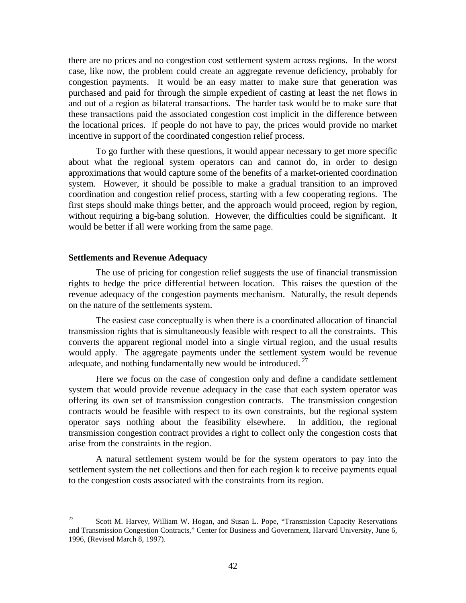there are no prices and no congestion cost settlement system across regions. In the worst case, like now, the problem could create an aggregate revenue deficiency, probably for congestion payments. It would be an easy matter to make sure that generation was purchased and paid for through the simple expedient of casting at least the net flows in and out of a region as bilateral transactions. The harder task would be to make sure that these transactions paid the associated congestion cost implicit in the difference between the locational prices. If people do not have to pay, the prices would provide no market incentive in support of the coordinated congestion relief process.

To go further with these questions, it would appear necessary to get more specific about what the regional system operators can and cannot do, in order to design approximations that would capture some of the benefits of a market-oriented coordination system. However, it should be possible to make a gradual transition to an improved coordination and congestion relief process, starting with a few cooperating regions. The first steps should make things better, and the approach would proceed, region by region, without requiring a big-bang solution. However, the difficulties could be significant. It would be better if all were working from the same page.

#### **Settlements and Revenue Adequacy**

 $\overline{a}$ 

The use of pricing for congestion relief suggests the use of financial transmission rights to hedge the price differential between location. This raises the question of the revenue adequacy of the congestion payments mechanism. Naturally, the result depends on the nature of the settlements system.

The easiest case conceptually is when there is a coordinated allocation of financial transmission rights that is simultaneously feasible with respect to all the constraints. This converts the apparent regional model into a single virtual region, and the usual results would apply. The aggregate payments under the settlement system would be revenue adequate, and nothing fundamentally new would be introduced.<sup>27</sup>

Here we focus on the case of congestion only and define a candidate settlement system that would provide revenue adequacy in the case that each system operator was offering its own set of transmission congestion contracts. The transmission congestion contracts would be feasible with respect to its own constraints, but the regional system operator says nothing about the feasibility elsewhere. In addition, the regional transmission congestion contract provides a right to collect only the congestion costs that arise from the constraints in the region.

A natural settlement system would be for the system operators to pay into the settlement system the net collections and then for each region k to receive payments equal to the congestion costs associated with the constraints from its region.

 $27$  Scott M. Harvey, William W. Hogan, and Susan L. Pope, "Transmission Capacity Reservations and Transmission Congestion Contracts," Center for Business and Government, Harvard University, June 6, 1996, (Revised March 8, 1997).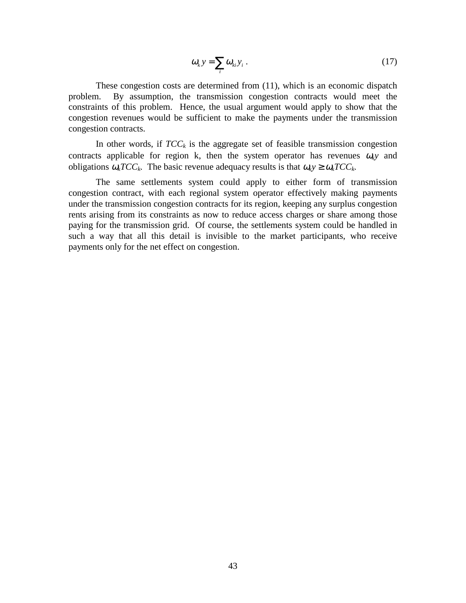$$
\omega_k y = \sum_i \omega_{ki} y_i \,. \tag{17}
$$

These congestion costs are determined from (11), which is an economic dispatch problem. By assumption, the transmission congestion contracts would meet the constraints of this problem. Hence, the usual argument would apply to show that the congestion revenues would be sufficient to make the payments under the transmission congestion contracts.

In other words, if  $TCC_k$  is the aggregate set of feasible transmission congestion contracts applicable for region k, then the system operator has revenues  $\omega_k$  and obligations  $\omega_k T C C_k$ . The basic revenue adequacy results is that  $\omega_k y \geq \omega_k T C C_k$ .

The same settlements system could apply to either form of transmission congestion contract, with each regional system operator effectively making payments under the transmission congestion contracts for its region, keeping any surplus congestion rents arising from its constraints as now to reduce access charges or share among those paying for the transmission grid. Of course, the settlements system could be handled in such a way that all this detail is invisible to the market participants, who receive payments only for the net effect on congestion.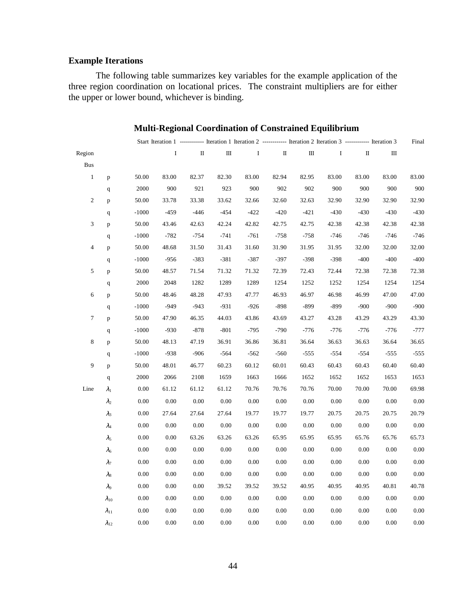## **Example Iterations**

The following table summarizes key variables for the example application of the three region coordination on locational prices. The constraint multipliers are for either the upper or lower bound, whichever is binding.

|                          |                |          |          |          |          |              |              |        | Start Iteration 1 ------------ Iteration 1 Iteration 2 ------------ Iteration 2 Iteration 3 ------------ Iteration 3 |        |        | Final  |
|--------------------------|----------------|----------|----------|----------|----------|--------------|--------------|--------|----------------------------------------------------------------------------------------------------------------------|--------|--------|--------|
| Region                   |                |          | $\bf{I}$ | П        | Ш        | $\mathbf{I}$ | $\mathbf{H}$ | Ш      | Ι.                                                                                                                   | П      | Ш      |        |
| <b>Bus</b>               |                |          |          |          |          |              |              |        |                                                                                                                      |        |        |        |
| $\mathbf{1}$             | p              | 50.00    | 83.00    | 82.37    | 82.30    | 83.00        | 82.94        | 82.95  | 83.00                                                                                                                | 83.00  | 83.00  | 83.00  |
|                          | $\mathbf{q}$   | 2000     | 900      | 921      | 923      | 900          | 902          | 902    | 900                                                                                                                  | 900    | 900    | 900    |
| $\mathbf{2}$             | p              | 50.00    | 33.78    | 33.38    | 33.62    | 32.66        | 32.60        | 32.63  | 32.90                                                                                                                | 32.90  | 32.90  | 32.90  |
|                          | $\mathbf q$    | $-1000$  | $-459$   | $-446$   | $-454$   | $-422$       | $-420$       | $-421$ | $-430$                                                                                                               | $-430$ | $-430$ | $-430$ |
| 3                        | p              | 50.00    | 43.46    | 42.63    | 42.24    | 42.82        | 42.75        | 42.75  | 42.38                                                                                                                | 42.38  | 42.38  | 42.38  |
|                          | $\mathbf{q}$   | $-1000$  | $-782$   | $-754$   | $-741$   | $-761$       | $-758$       | $-758$ | $-746$                                                                                                               | $-746$ | $-746$ | $-746$ |
| $\overline{\mathcal{L}}$ | p              | 50.00    | 48.68    | 31.50    | 31.43    | 31.60        | 31.90        | 31.95  | 31.95                                                                                                                | 32.00  | 32.00  | 32.00  |
|                          | q              | $-1000$  | $-956$   | $-383$   | $-381$   | $-387$       | $-397$       | $-398$ | $-398$                                                                                                               | $-400$ | $-400$ | $-400$ |
| 5                        | p              | 50.00    | 48.57    | 71.54    | 71.32    | 71.32        | 72.39        | 72.43  | 72.44                                                                                                                | 72.38  | 72.38  | 72.38  |
|                          | $\mathbf{q}$   | 2000     | 2048     | 1282     | 1289     | 1289         | 1254         | 1252   | 1252                                                                                                                 | 1254   | 1254   | 1254   |
| 6                        | p              | 50.00    | 48.46    | 48.28    | 47.93    | 47.77        | 46.93        | 46.97  | 46.98                                                                                                                | 46.99  | 47.00  | 47.00  |
|                          | $\mathbf q$    | $-1000$  | $-949$   | $-943$   | $-931$   | $-926$       | $-898$       | $-899$ | $-899$                                                                                                               | $-900$ | $-900$ | $-900$ |
| 7                        | p              | 50.00    | 47.90    | 46.35    | 44.03    | 43.86        | 43.69        | 43.27  | 43.28                                                                                                                | 43.29  | 43.29  | 43.30  |
|                          | $\mathbf{q}$   | $-1000$  | $-930$   | $-878$   | $-801$   | $-795$       | $-790$       | $-776$ | $-776$                                                                                                               | $-776$ | $-776$ | $-777$ |
| 8                        | p              | 50.00    | 48.13    | 47.19    | 36.91    | 36.86        | 36.81        | 36.64  | 36.63                                                                                                                | 36.63  | 36.64  | 36.65  |
|                          | q              | $-1000$  | $-938$   | $-906$   | $-564$   | $-562$       | $-560$       | $-555$ | $-554$                                                                                                               | $-554$ | $-555$ | $-555$ |
| 9                        | p              | 50.00    | 48.01    | 46.77    | 60.23    | 60.12        | 60.01        | 60.43  | 60.43                                                                                                                | 60.43  | 60.40  | 60.40  |
|                          | $\mathbf{q}$   | 2000     | 2066     | 2108     | 1659     | 1663         | 1666         | 1652   | 1652                                                                                                                 | 1652   | 1653   | 1653   |
| Line                     | $\lambda_1$    | 0.00     | 61.12    | 61.12    | 61.12    | 70.76        | 70.76        | 70.76  | 70.00                                                                                                                | 70.00  | 70.00  | 69.98  |
|                          | $\lambda_2$    | 0.00     | 0.00     | 0.00     | 0.00     | 0.00         | 0.00         | 0.00   | 0.00                                                                                                                 | 0.00   | 0.00   | 0.00   |
|                          | $\lambda_3$    | 0.00     | 27.64    | 27.64    | 27.64    | 19.77        | 19.77        | 19.77  | 20.75                                                                                                                | 20.75  | 20.75  | 20.79  |
|                          | $\lambda_4$    | 0.00     | 0.00     | 0.00     | 0.00     | 0.00         | 0.00         | 0.00   | 0.00                                                                                                                 | 0.00   | 0.00   | 0.00   |
|                          | $\lambda_5$    | 0.00     | 0.00     | 63.26    | 63.26    | 63.26        | 65.95        | 65.95  | 65.95                                                                                                                | 65.76  | 65.76  | 65.73  |
|                          | $\lambda_6$    | 0.00     | 0.00     | $0.00\,$ | $0.00\,$ | 0.00         | 0.00         | 0.00   | 0.00                                                                                                                 | 0.00   | 0.00   | 0.00   |
|                          | $\lambda_7$    | 0.00     | 0.00     | 0.00     | 0.00     | 0.00         | 0.00         | 0.00   | 0.00                                                                                                                 | 0.00   | 0.00   | 0.00   |
|                          | $\lambda_8$    | 0.00     | 0.00     | 0.00     | 0.00     | 0.00         | 0.00         | 0.00   | 0.00                                                                                                                 | 0.00   | 0.00   | 0.00   |
|                          | $\lambda_9$    | 0.00     | 0.00     | 0.00     | 39.52    | 39.52        | 39.52        | 40.95  | 40.95                                                                                                                | 40.95  | 40.81  | 40.78  |
|                          | $\lambda_{10}$ | 0.00     | 0.00     | 0.00     | 0.00     | 0.00         | 0.00         | 0.00   | 0.00                                                                                                                 | 0.00   | 0.00   | 0.00   |
|                          | $\lambda_{11}$ | $0.00\,$ | $0.00\,$ | 0.00     | 0.00     | 0.00         | 0.00         | 0.00   | 0.00                                                                                                                 | 0.00   | 0.00   | 0.00   |
|                          | $\lambda_{12}$ | 0.00     | 0.00     | 0.00     | 0.00     | 0.00         | 0.00         | 0.00   | 0.00                                                                                                                 | 0.00   | 0.00   | 0.00   |

## **Multi-Regional Coordination of Constrained Equilibrium**